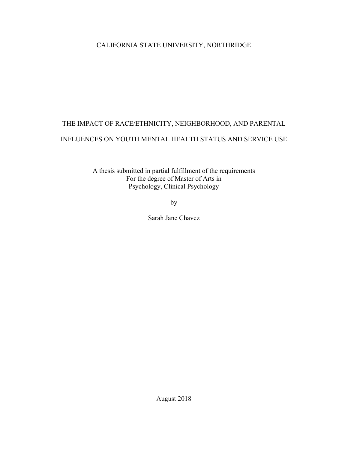# CALIFORNIA STATE UNIVERSITY, NORTHRIDGE

# THE IMPACT OF RACE/ETHNICITY, NEIGHBORHOOD, AND PARENTAL INFLUENCES ON YOUTH MENTAL HEALTH STATUS AND SERVICE USE

A thesis submitted in partial fulfillment of the requirements For the degree of Master of Arts in Psychology, Clinical Psychology

by

Sarah Jane Chavez

August 2018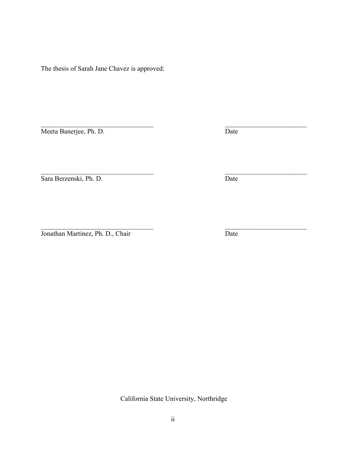The thesis of Sarah Jane Chavez is approved:

Meeta Banerjee, Ph. D. Date

 $\mathcal{L}_\text{max}$  , and the contribution of the contribution of the contribution of the contribution of the contribution of the contribution of the contribution of the contribution of the contribution of the contribution of t Sara Berzenski, Ph. D. Date

 $\mathcal{L}_\text{max}$  and the contract of the contract of the contract of the contract of the contract of the contract of Jonathan Martinez, Ph. D., Chair Date

California State University, Northridge

 $\mathcal{L}_\text{max}$  , and the contribution of the contribution of the contribution of the contribution of the contribution of the contribution of the contribution of the contribution of the contribution of the contribution of t

ii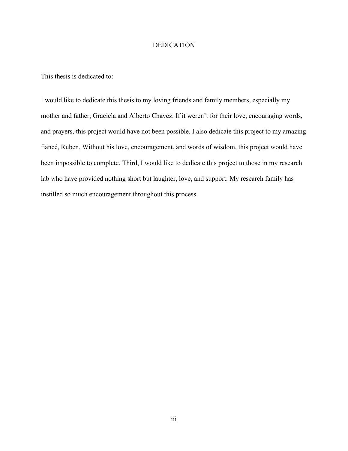# DEDICATION

This thesis is dedicated to:

I would like to dedicate this thesis to my loving friends and family members, especially my mother and father, Graciela and Alberto Chavez. If it weren't for their love, encouraging words, and prayers, this project would have not been possible. I also dedicate this project to my amazing fiancé, Ruben. Without his love, encouragement, and words of wisdom, this project would have been impossible to complete. Third, I would like to dedicate this project to those in my research lab who have provided nothing short but laughter, love, and support. My research family has instilled so much encouragement throughout this process.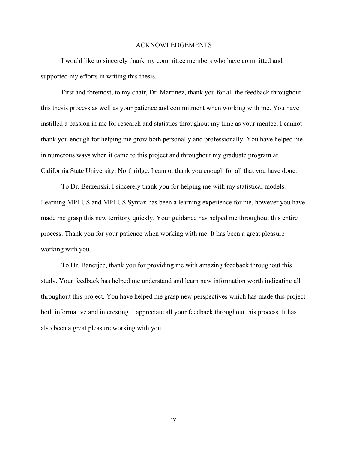#### ACKNOWLEDGEMENTS

I would like to sincerely thank my committee members who have committed and supported my efforts in writing this thesis.

First and foremost, to my chair, Dr. Martinez, thank you for all the feedback throughout this thesis process as well as your patience and commitment when working with me. You have instilled a passion in me for research and statistics throughout my time as your mentee. I cannot thank you enough for helping me grow both personally and professionally. You have helped me in numerous ways when it came to this project and throughout my graduate program at California State University, Northridge. I cannot thank you enough for all that you have done.

To Dr. Berzenski, I sincerely thank you for helping me with my statistical models. Learning MPLUS and MPLUS Syntax has been a learning experience for me, however you have made me grasp this new territory quickly. Your guidance has helped me throughout this entire process. Thank you for your patience when working with me. It has been a great pleasure working with you.

To Dr. Banerjee, thank you for providing me with amazing feedback throughout this study. Your feedback has helped me understand and learn new information worth indicating all throughout this project. You have helped me grasp new perspectives which has made this project both informative and interesting. I appreciate all your feedback throughout this process. It has also been a great pleasure working with you.

iv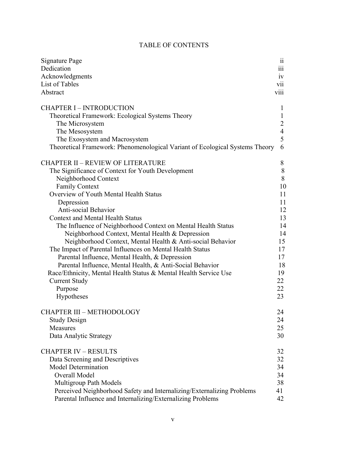# TABLE OF CONTENTS

| Signature Page<br>Dedication<br>Acknowledgments<br>List of Tables<br>Abstract | $\ddot{\phantom{0}}$<br>11<br>111<br>1V<br><b>V11</b><br>VIII |
|-------------------------------------------------------------------------------|---------------------------------------------------------------|
| <b>CHAPTER I - INTRODUCTION</b>                                               | $\mathbf{1}$                                                  |
| Theoretical Framework: Ecological Systems Theory                              | $\mathbf{1}$                                                  |
| The Microsystem                                                               | $\overline{2}$                                                |
| The Mesosystem                                                                | $\overline{4}$                                                |
| The Exosystem and Macrosystem                                                 | 5                                                             |
| Theoretical Framework: Phenomenological Variant of Ecological Systems Theory  | 6                                                             |
| <b>CHAPTER II - REVIEW OF LITERATURE</b>                                      | 8                                                             |
| The Significance of Context for Youth Development                             | 8                                                             |
| Neighborhood Context                                                          | 8                                                             |
| <b>Family Context</b>                                                         | 10                                                            |
| Overview of Youth Mental Health Status                                        | 11                                                            |
| Depression                                                                    | 11                                                            |
| Anti-social Behavior                                                          | 12                                                            |
| <b>Context and Mental Health Status</b>                                       | 13                                                            |
| The Influence of Neighborhood Context on Mental Health Status                 | 14                                                            |
| Neighborhood Context, Mental Health & Depression                              | 14                                                            |
| Neighborhood Context, Mental Health & Anti-social Behavior                    | 15                                                            |
| The Impact of Parental Influences on Mental Health Status                     | 17                                                            |
| Parental Influence, Mental Health, & Depression                               | 17                                                            |
| Parental Influence, Mental Health, & Anti-Social Behavior                     | 18                                                            |
| Race/Ethnicity, Mental Health Status & Mental Health Service Use              | 19                                                            |
| <b>Current Study</b>                                                          | 22                                                            |
| Purpose                                                                       | 22                                                            |
| Hypotheses                                                                    | 23                                                            |
| <b>CHAPTER III - METHODOLOGY</b>                                              | 24                                                            |
| <b>Study Design</b>                                                           | 24                                                            |
| Measures                                                                      | 25                                                            |
| Data Analytic Strategy                                                        | 30                                                            |
| <b>CHAPTER IV - RESULTS</b>                                                   | 32                                                            |
| Data Screening and Descriptives                                               | 32                                                            |
| <b>Model Determination</b>                                                    | 34                                                            |
| Overall Model                                                                 | 34                                                            |
| Multigroup Path Models                                                        | 38                                                            |
| Perceived Neighborhood Safety and Internalizing/Externalizing Problems        | 41                                                            |
| Parental Influence and Internalizing/Externalizing Problems                   | 42                                                            |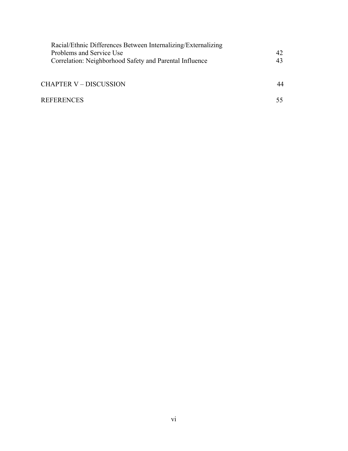| Racial/Ethnic Differences Between Internalizing/Externalizing |    |
|---------------------------------------------------------------|----|
| Problems and Service Use                                      | 42 |
| Correlation: Neighborhood Safety and Parental Influence       | 43 |
|                                                               |    |
| <b>CHAPTER V – DISCUSSION</b>                                 | 44 |
|                                                               |    |
| <b>REFERENCES</b>                                             |    |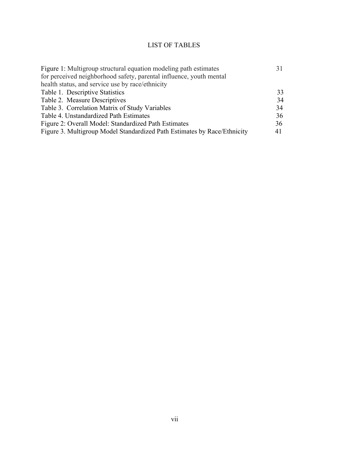# LIST OF TABLES

| Figure 1: Multigroup structural equation modeling path estimates         |    |
|--------------------------------------------------------------------------|----|
| for perceived neighborhood safety, parental influence, youth mental      |    |
| health status, and service use by race/ethnicity                         |    |
| Table 1. Descriptive Statistics                                          | 33 |
| Table 2. Measure Descriptives                                            | 34 |
| Table 3. Correlation Matrix of Study Variables                           | 34 |
| Table 4. Unstandardized Path Estimates                                   | 36 |
| Figure 2: Overall Model: Standardized Path Estimates                     | 36 |
| Figure 3. Multigroup Model Standardized Path Estimates by Race/Ethnicity | 41 |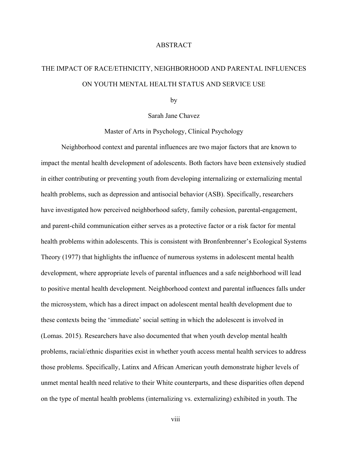#### ABSTRACT

# THE IMPACT OF RACE/ETHNICITY, NEIGHBORHOOD AND PARENTAL INFLUENCES ON YOUTH MENTAL HEALTH STATUS AND SERVICE USE

by

Sarah Jane Chavez

Master of Arts in Psychology, Clinical Psychology

Neighborhood context and parental influences are two major factors that are known to impact the mental health development of adolescents. Both factors have been extensively studied in either contributing or preventing youth from developing internalizing or externalizing mental health problems, such as depression and antisocial behavior (ASB). Specifically, researchers have investigated how perceived neighborhood safety, family cohesion, parental-engagement, and parent-child communication either serves as a protective factor or a risk factor for mental health problems within adolescents. This is consistent with Bronfenbrenner's Ecological Systems Theory (1977) that highlights the influence of numerous systems in adolescent mental health development, where appropriate levels of parental influences and a safe neighborhood will lead to positive mental health development. Neighborhood context and parental influences falls under the microsystem, which has a direct impact on adolescent mental health development due to these contexts being the 'immediate' social setting in which the adolescent is involved in (Lomas. 2015). Researchers have also documented that when youth develop mental health problems, racial/ethnic disparities exist in whether youth access mental health services to address those problems. Specifically, Latinx and African American youth demonstrate higher levels of unmet mental health need relative to their White counterparts, and these disparities often depend on the type of mental health problems (internalizing vs. externalizing) exhibited in youth. The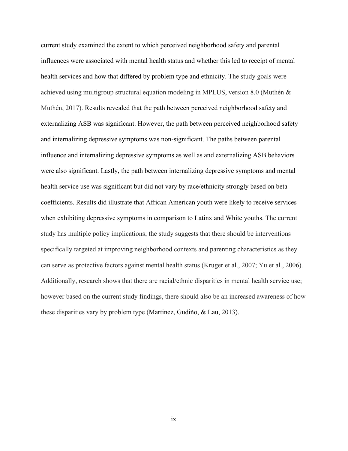current study examined the extent to which perceived neighborhood safety and parental influences were associated with mental health status and whether this led to receipt of mental health services and how that differed by problem type and ethnicity. The study goals were achieved using multigroup structural equation modeling in MPLUS, version 8.0 (Muthén & Muthén, 2017). Results revealed that the path between perceived neighborhood safety and externalizing ASB was significant. However, the path between perceived neighborhood safety and internalizing depressive symptoms was non-significant. The paths between parental influence and internalizing depressive symptoms as well as and externalizing ASB behaviors were also significant. Lastly, the path between internalizing depressive symptoms and mental health service use was significant but did not vary by race/ethnicity strongly based on beta coefficients. Results did illustrate that African American youth were likely to receive services when exhibiting depressive symptoms in comparison to Latinx and White youths. The current study has multiple policy implications; the study suggests that there should be interventions specifically targeted at improving neighborhood contexts and parenting characteristics as they can serve as protective factors against mental health status (Kruger et al., 2007; Yu et al., 2006). Additionally, research shows that there are racial/ethnic disparities in mental health service use; however based on the current study findings, there should also be an increased awareness of how these disparities vary by problem type (Martinez, Gudiño, & Lau, 2013).

ix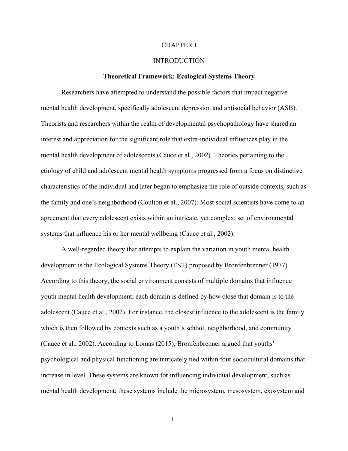#### CHAPTER I

# INTRODUCTION

#### **Theoretical Framework: Ecological Systems Theory**

Researchers have attempted to understand the possible factors that impact negative mental health development, specifically adolescent depression and antisocial behavior (ASB). Theorists and researchers within the realm of developmental psychopathology have shared an interest and appreciation for the significant role that extra-individual influences play in the mental health development of adolescents (Cauce et al., 2002). Theories pertaining to the etiology of child and adolescent mental health symptoms progressed from a focus on distinctive characteristics of the individual and later began to emphasize the role of outside contexts, such as the family and one's neighborhood (Coulton et al., 2007). Most social scientists have come to an agreement that every adolescent exists within an intricate, yet complex, set of environmental systems that influence his or her mental wellbeing (Cauce et al., 2002).

A well-regarded theory that attempts to explain the variation in youth mental health development is the Ecological Systems Theory (EST) proposed by Bronfenbrenner (1977). According to this theory, the social environment consists of multiple domains that influence youth mental health development; each domain is defined by how close that domain is to the adolescent (Cauce et al., 2002). For instance, the closest influence to the adolescent is the family which is then followed by contexts such as a youth's school, neighborhood, and community (Cauce et al., 2002). According to Lomas (2015), Bronfenbrenner argued that youths' psychological and physical functioning are intricately tied within four sociocultural domains that increase in level. These systems are known for influencing individual development, such as mental health development; these systems include the microsystem, mesosystem, exosystem and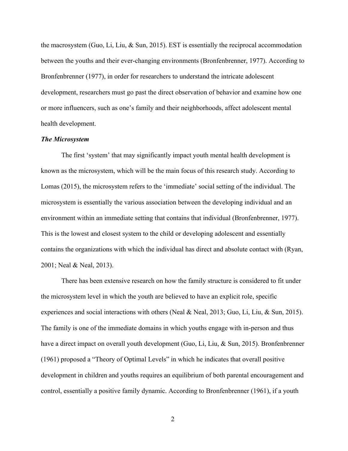the macrosystem (Guo, Li, Liu, & Sun, 2015). EST is essentially the reciprocal accommodation between the youths and their ever-changing environments (Bronfenbrenner, 1977). According to Bronfenbrenner (1977), in order for researchers to understand the intricate adolescent development, researchers must go past the direct observation of behavior and examine how one or more influencers, such as one's family and their neighborhoods, affect adolescent mental health development.

#### *The Microsystem*

The first 'system' that may significantly impact youth mental health development is known as the microsystem, which will be the main focus of this research study. According to Lomas (2015), the microsystem refers to the 'immediate' social setting of the individual. The microsystem is essentially the various association between the developing individual and an environment within an immediate setting that contains that individual (Bronfenbrenner, 1977). This is the lowest and closest system to the child or developing adolescent and essentially contains the organizations with which the individual has direct and absolute contact with (Ryan, 2001; Neal & Neal, 2013).

There has been extensive research on how the family structure is considered to fit under the microsystem level in which the youth are believed to have an explicit role, specific experiences and social interactions with others (Neal & Neal, 2013; Guo, Li, Liu, & Sun, 2015). The family is one of the immediate domains in which youths engage with in-person and thus have a direct impact on overall youth development (Guo, Li, Liu, & Sun, 2015). Bronfenbrenner (1961) proposed a "Theory of Optimal Levels" in which he indicates that overall positive development in children and youths requires an equilibrium of both parental encouragement and control, essentially a positive family dynamic. According to Bronfenbrenner (1961), if a youth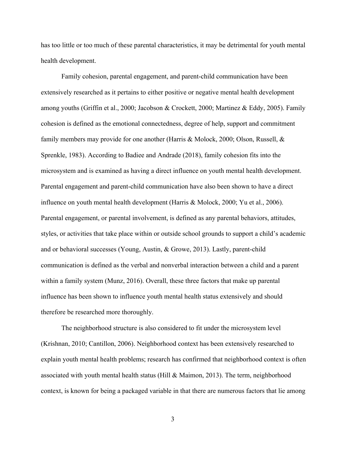has too little or too much of these parental characteristics, it may be detrimental for youth mental health development.

Family cohesion, parental engagement, and parent-child communication have been extensively researched as it pertains to either positive or negative mental health development among youths (Griffin et al., 2000; Jacobson & Crockett, 2000; Martinez & Eddy, 2005). Family cohesion is defined as the emotional connectedness, degree of help, support and commitment family members may provide for one another (Harris & Molock, 2000; Olson, Russell, & Sprenkle, 1983). According to Badiee and Andrade (2018), family cohesion fits into the microsystem and is examined as having a direct influence on youth mental health development. Parental engagement and parent-child communication have also been shown to have a direct influence on youth mental health development (Harris & Molock, 2000; Yu et al., 2006). Parental engagement, or parental involvement, is defined as any parental behaviors, attitudes, styles, or activities that take place within or outside school grounds to support a child's academic and or behavioral successes (Young, Austin, & Growe, 2013). Lastly, parent-child communication is defined as the verbal and nonverbal interaction between a child and a parent within a family system (Munz, 2016). Overall, these three factors that make up parental influence has been shown to influence youth mental health status extensively and should therefore be researched more thoroughly.

The neighborhood structure is also considered to fit under the microsystem level (Krishnan, 2010; Cantillon, 2006). Neighborhood context has been extensively researched to explain youth mental health problems; research has confirmed that neighborhood context is often associated with youth mental health status (Hill & Maimon, 2013). The term, neighborhood context, is known for being a packaged variable in that there are numerous factors that lie among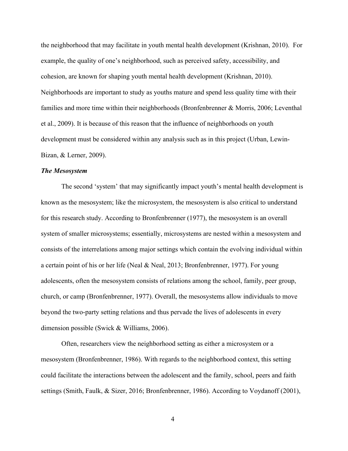the neighborhood that may facilitate in youth mental health development (Krishnan, 2010). For example, the quality of one's neighborhood, such as perceived safety, accessibility, and cohesion, are known for shaping youth mental health development (Krishnan, 2010). Neighborhoods are important to study as youths mature and spend less quality time with their families and more time within their neighborhoods (Bronfenbrenner & Morris, 2006; Leventhal et al., 2009). It is because of this reason that the influence of neighborhoods on youth development must be considered within any analysis such as in this project (Urban, Lewin-Bizan, & Lerner, 2009).

#### *The Mesosystem*

The second 'system' that may significantly impact youth's mental health development is known as the mesosystem; like the microsystem, the mesosystem is also critical to understand for this research study. According to Bronfenbrenner (1977), the mesosystem is an overall system of smaller microsystems; essentially, microsystems are nested within a mesosystem and consists of the interrelations among major settings which contain the evolving individual within a certain point of his or her life (Neal & Neal, 2013; Bronfenbrenner, 1977). For young adolescents, often the mesosystem consists of relations among the school, family, peer group, church, or camp (Bronfenbrenner, 1977). Overall, the mesosystems allow individuals to move beyond the two-party setting relations and thus pervade the lives of adolescents in every dimension possible (Swick & Williams, 2006).

Often, researchers view the neighborhood setting as either a microsystem or a mesosystem (Bronfenbrenner, 1986). With regards to the neighborhood context, this setting could facilitate the interactions between the adolescent and the family, school, peers and faith settings (Smith, Faulk, & Sizer, 2016; Bronfenbrenner, 1986). According to Voydanoff (2001),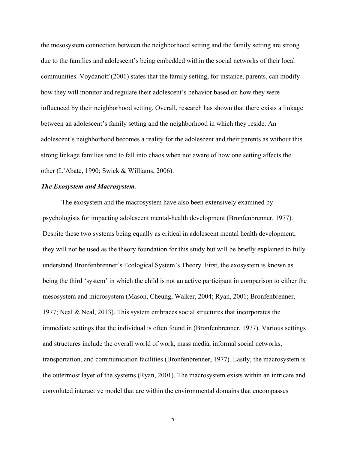the mesosystem connection between the neighborhood setting and the family setting are strong due to the families and adolescent's being embedded within the social networks of their local communities. Voydanoff (2001) states that the family setting, for instance, parents, can modify how they will monitor and regulate their adolescent's behavior based on how they were influenced by their neighborhood setting. Overall, research has shown that there exists a linkage between an adolescent's family setting and the neighborhood in which they reside. An adolescent's neighborhood becomes a reality for the adolescent and their parents as without this strong linkage families tend to fall into chaos when not aware of how one setting affects the other (L'Abate, 1990; Swick & Williams, 2006).

# *The Exosystem and Macrosystem.*

The exosystem and the macrosystem have also been extensively examined by psychologists for impacting adolescent mental-health development (Bronfenbrenner, 1977). Despite these two systems being equally as critical in adolescent mental health development, they will not be used as the theory foundation for this study but will be briefly explained to fully understand Bronfenbrenner's Ecological System's Theory. First, the exosystem is known as being the third 'system' in which the child is not an active participant in comparison to either the mesosystem and microsystem (Mason, Cheung, Walker, 2004; Ryan, 2001; Bronfenbrenner, 1977; Neal & Neal, 2013). This system embraces social structures that incorporates the immediate settings that the individual is often found in (Bronfenbrenner, 1977). Various settings and structures include the overall world of work, mass media, informal social networks, transportation, and communication facilities (Bronfenbrenner, 1977). Lastly, the macrosystem is the outermost layer of the systems (Ryan, 2001). The macrosystem exists within an intricate and convoluted interactive model that are within the environmental domains that encompasses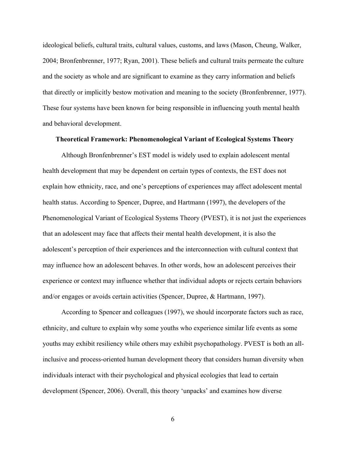ideological beliefs, cultural traits, cultural values, customs, and laws (Mason, Cheung, Walker, 2004; Bronfenbrenner, 1977; Ryan, 2001). These beliefs and cultural traits permeate the culture and the society as whole and are significant to examine as they carry information and beliefs that directly or implicitly bestow motivation and meaning to the society (Bronfenbrenner, 1977). These four systems have been known for being responsible in influencing youth mental health and behavioral development.

# **Theoretical Framework: Phenomenological Variant of Ecological Systems Theory**

Although Bronfenbrenner's EST model is widely used to explain adolescent mental health development that may be dependent on certain types of contexts, the EST does not explain how ethnicity, race, and one's perceptions of experiences may affect adolescent mental health status. According to Spencer, Dupree, and Hartmann (1997), the developers of the Phenomenological Variant of Ecological Systems Theory (PVEST), it is not just the experiences that an adolescent may face that affects their mental health development, it is also the adolescent's perception of their experiences and the interconnection with cultural context that may influence how an adolescent behaves. In other words, how an adolescent perceives their experience or context may influence whether that individual adopts or rejects certain behaviors and/or engages or avoids certain activities (Spencer, Dupree, & Hartmann, 1997).

According to Spencer and colleagues (1997), we should incorporate factors such as race, ethnicity, and culture to explain why some youths who experience similar life events as some youths may exhibit resiliency while others may exhibit psychopathology. PVEST is both an allinclusive and process-oriented human development theory that considers human diversity when individuals interact with their psychological and physical ecologies that lead to certain development (Spencer, 2006). Overall, this theory 'unpacks' and examines how diverse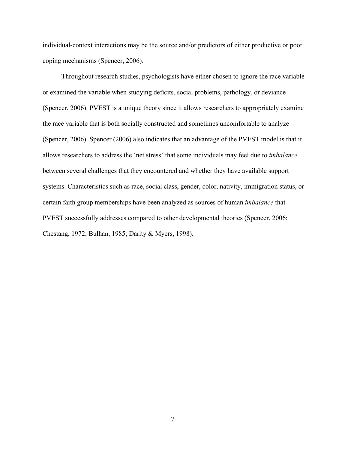individual-context interactions may be the source and/or predictors of either productive or poor coping mechanisms (Spencer, 2006).

Throughout research studies, psychologists have either chosen to ignore the race variable or examined the variable when studying deficits, social problems, pathology, or deviance (Spencer, 2006). PVEST is a unique theory since it allows researchers to appropriately examine the race variable that is both socially constructed and sometimes uncomfortable to analyze (Spencer, 2006). Spencer (2006) also indicates that an advantage of the PVEST model is that it allows researchers to address the 'net stress' that some individuals may feel due to *imbalance* between several challenges that they encountered and whether they have available support systems. Characteristics such as race, social class, gender, color, nativity, immigration status, or certain faith group memberships have been analyzed as sources of human *imbalance* that PVEST successfully addresses compared to other developmental theories (Spencer, 2006; Chestang, 1972; Bulhan, 1985; Darity & Myers, 1998).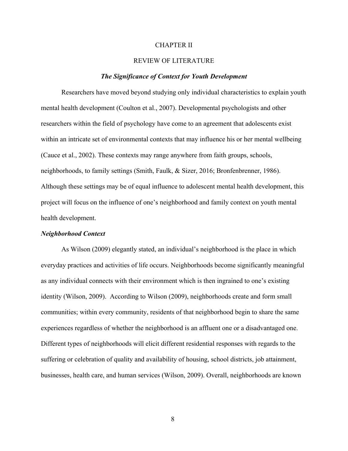#### CHAPTER II

# REVIEW OF LITERATURE

#### *The Significance of Context for Youth Development*

Researchers have moved beyond studying only individual characteristics to explain youth mental health development (Coulton et al., 2007). Developmental psychologists and other researchers within the field of psychology have come to an agreement that adolescents exist within an intricate set of environmental contexts that may influence his or her mental wellbeing (Cauce et al., 2002). These contexts may range anywhere from faith groups, schools, neighborhoods, to family settings (Smith, Faulk, & Sizer, 2016; Bronfenbrenner, 1986). Although these settings may be of equal influence to adolescent mental health development, this project will focus on the influence of one's neighborhood and family context on youth mental health development.

#### *Neighborhood Context*

As Wilson (2009) elegantly stated, an individual's neighborhood is the place in which everyday practices and activities of life occurs. Neighborhoods become significantly meaningful as any individual connects with their environment which is then ingrained to one's existing identity (Wilson, 2009). According to Wilson (2009), neighborhoods create and form small communities; within every community, residents of that neighborhood begin to share the same experiences regardless of whether the neighborhood is an affluent one or a disadvantaged one. Different types of neighborhoods will elicit different residential responses with regards to the suffering or celebration of quality and availability of housing, school districts, job attainment, businesses, health care, and human services (Wilson, 2009). Overall, neighborhoods are known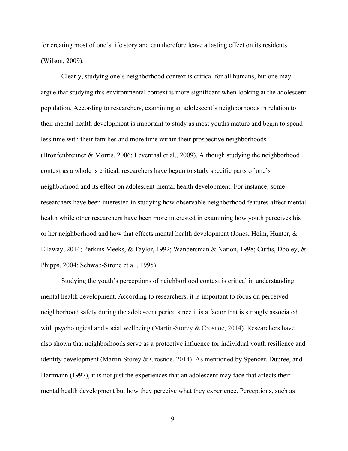for creating most of one's life story and can therefore leave a lasting effect on its residents (Wilson, 2009).

Clearly, studying one's neighborhood context is critical for all humans, but one may argue that studying this environmental context is more significant when looking at the adolescent population. According to researchers, examining an adolescent's neighborhoods in relation to their mental health development is important to study as most youths mature and begin to spend less time with their families and more time within their prospective neighborhoods (Bronfenbrenner & Morris, 2006; Leventhal et al., 2009). Although studying the neighborhood context as a whole is critical, researchers have begun to study specific parts of one's neighborhood and its effect on adolescent mental health development. For instance, some researchers have been interested in studying how observable neighborhood features affect mental health while other researchers have been more interested in examining how youth perceives his or her neighborhood and how that effects mental health development (Jones, Heim, Hunter, & Ellaway, 2014; Perkins Meeks, & Taylor, 1992; Wandersman & Nation, 1998; Curtis, Dooley, & Phipps, 2004; Schwab-Strone et al., 1995).

Studying the youth's perceptions of neighborhood context is critical in understanding mental health development. According to researchers, it is important to focus on perceived neighborhood safety during the adolescent period since it is a factor that is strongly associated with psychological and social wellbeing (Martin-Storey & Crosnoe, 2014). Researchers have also shown that neighborhoods serve as a protective influence for individual youth resilience and identity development (Martin-Storey & Crosnoe, 2014). As mentioned by Spencer, Dupree, and Hartmann (1997), it is not just the experiences that an adolescent may face that affects their mental health development but how they perceive what they experience. Perceptions, such as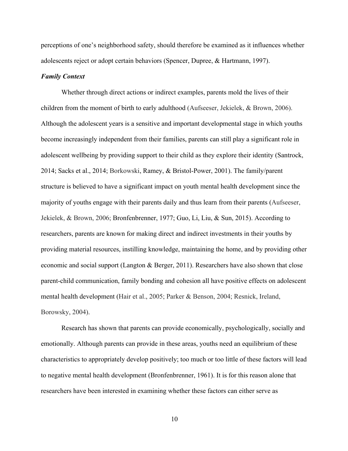perceptions of one's neighborhood safety, should therefore be examined as it influences whether adolescents reject or adopt certain behaviors (Spencer, Dupree, & Hartmann, 1997).

# *Family Context*

Whether through direct actions or indirect examples, parents mold the lives of their children from the moment of birth to early adulthood (Aufseeser, Jekielek, & Brown, 2006). Although the adolescent years is a sensitive and important developmental stage in which youths become increasingly independent from their families, parents can still play a significant role in adolescent wellbeing by providing support to their child as they explore their identity (Santrock, 2014; Sacks et al., 2014; Borkowski, Ramey, & Bristol-Power, 2001). The family/parent structure is believed to have a significant impact on youth mental health development since the majority of youths engage with their parents daily and thus learn from their parents (Aufseeser, Jekielek, & Brown, 2006; Bronfenbrenner, 1977; Guo, Li, Liu, & Sun, 2015). According to researchers, parents are known for making direct and indirect investments in their youths by providing material resources, instilling knowledge, maintaining the home, and by providing other economic and social support (Langton & Berger, 2011). Researchers have also shown that close parent-child communication, family bonding and cohesion all have positive effects on adolescent mental health development (Hair et al., 2005; Parker & Benson, 2004; Resnick, Ireland, Borowsky, 2004).

Research has shown that parents can provide economically, psychologically, socially and emotionally. Although parents can provide in these areas, youths need an equilibrium of these characteristics to appropriately develop positively; too much or too little of these factors will lead to negative mental health development (Bronfenbrenner, 1961). It is for this reason alone that researchers have been interested in examining whether these factors can either serve as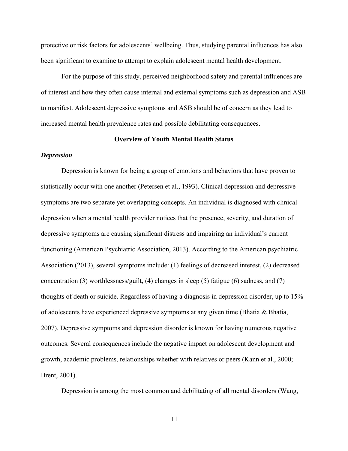protective or risk factors for adolescents' wellbeing. Thus, studying parental influences has also been significant to examine to attempt to explain adolescent mental health development.

For the purpose of this study, perceived neighborhood safety and parental influences are of interest and how they often cause internal and external symptoms such as depression and ASB to manifest. Adolescent depressive symptoms and ASB should be of concern as they lead to increased mental health prevalence rates and possible debilitating consequences.

#### **Overview of Youth Mental Health Status**

#### *Depression*

Depression is known for being a group of emotions and behaviors that have proven to statistically occur with one another (Petersen et al., 1993). Clinical depression and depressive symptoms are two separate yet overlapping concepts. An individual is diagnosed with clinical depression when a mental health provider notices that the presence, severity, and duration of depressive symptoms are causing significant distress and impairing an individual's current functioning (American Psychiatric Association, 2013). According to the American psychiatric Association (2013), several symptoms include: (1) feelings of decreased interest, (2) decreased concentration (3) worthlessness/guilt, (4) changes in sleep (5) fatigue (6) sadness, and (7) thoughts of death or suicide. Regardless of having a diagnosis in depression disorder, up to 15% of adolescents have experienced depressive symptoms at any given time (Bhatia & Bhatia, 2007). Depressive symptoms and depression disorder is known for having numerous negative outcomes. Several consequences include the negative impact on adolescent development and growth, academic problems, relationships whether with relatives or peers (Kann et al., 2000; Brent, 2001).

Depression is among the most common and debilitating of all mental disorders (Wang,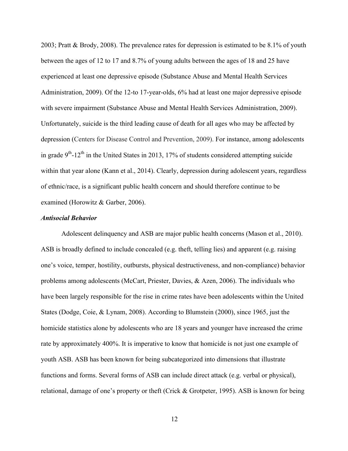2003; Pratt & Brody, 2008). The prevalence rates for depression is estimated to be 8.1% of youth between the ages of 12 to 17 and 8.7% of young adults between the ages of 18 and 25 have experienced at least one depressive episode (Substance Abuse and Mental Health Services Administration, 2009). Of the 12-to 17-year-olds, 6% had at least one major depressive episode with severe impairment (Substance Abuse and Mental Health Services Administration, 2009). Unfortunately, suicide is the third leading cause of death for all ages who may be affected by depression (Centers for Disease Control and Prevention, 2009). For instance, among adolescents in grade  $9<sup>th</sup> - 12<sup>th</sup>$  in the United States in 2013, 17% of students considered attempting suicide within that year alone (Kann et al., 2014). Clearly, depression during adolescent years, regardless of ethnic/race, is a significant public health concern and should therefore continue to be examined (Horowitz & Garber, 2006).

#### *Antisocial Behavior*

Adolescent delinquency and ASB are major public health concerns (Mason et al., 2010). ASB is broadly defined to include concealed (e.g. theft, telling lies) and apparent (e.g. raising one's voice, temper, hostility, outbursts, physical destructiveness, and non-compliance) behavior problems among adolescents (McCart, Priester, Davies, & Azen, 2006). The individuals who have been largely responsible for the rise in crime rates have been adolescents within the United States (Dodge, Coie, & Lynam, 2008). According to Blumstein (2000), since 1965, just the homicide statistics alone by adolescents who are 18 years and younger have increased the crime rate by approximately 400%. It is imperative to know that homicide is not just one example of youth ASB. ASB has been known for being subcategorized into dimensions that illustrate functions and forms. Several forms of ASB can include direct attack (e.g. verbal or physical), relational, damage of one's property or theft (Crick & Grotpeter, 1995). ASB is known for being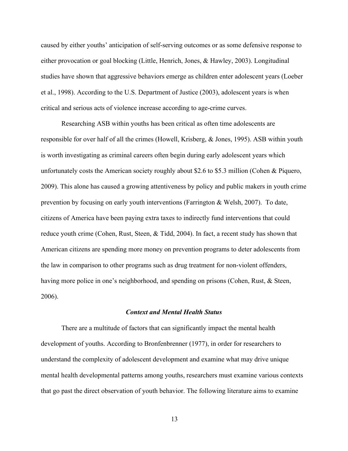caused by either youths' anticipation of self-serving outcomes or as some defensive response to either provocation or goal blocking (Little, Henrich, Jones, & Hawley, 2003). Longitudinal studies have shown that aggressive behaviors emerge as children enter adolescent years (Loeber et al., 1998). According to the U.S. Department of Justice (2003), adolescent years is when critical and serious acts of violence increase according to age-crime curves.

Researching ASB within youths has been critical as often time adolescents are responsible for over half of all the crimes (Howell, Krisberg, & Jones, 1995). ASB within youth is worth investigating as criminal careers often begin during early adolescent years which unfortunately costs the American society roughly about \$2.6 to \$5.3 million (Cohen & Piquero, 2009). This alone has caused a growing attentiveness by policy and public makers in youth crime prevention by focusing on early youth interventions (Farrington & Welsh, 2007). To date, citizens of America have been paying extra taxes to indirectly fund interventions that could reduce youth crime (Cohen, Rust, Steen, & Tidd, 2004). In fact, a recent study has shown that American citizens are spending more money on prevention programs to deter adolescents from the law in comparison to other programs such as drug treatment for non-violent offenders, having more police in one's neighborhood, and spending on prisons (Cohen, Rust, & Steen, 2006).

#### *Context and Mental Health Status*

There are a multitude of factors that can significantly impact the mental health development of youths. According to Bronfenbrenner (1977), in order for researchers to understand the complexity of adolescent development and examine what may drive unique mental health developmental patterns among youths, researchers must examine various contexts that go past the direct observation of youth behavior. The following literature aims to examine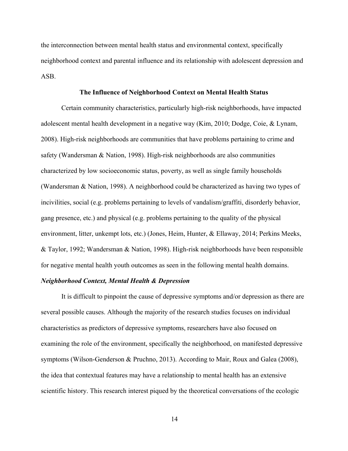the interconnection between mental health status and environmental context, specifically neighborhood context and parental influence and its relationship with adolescent depression and ASB.

#### **The Influence of Neighborhood Context on Mental Health Status**

Certain community characteristics, particularly high-risk neighborhoods, have impacted adolescent mental health development in a negative way (Kim, 2010; Dodge, Coie, & Lynam, 2008). High-risk neighborhoods are communities that have problems pertaining to crime and safety (Wandersman & Nation, 1998). High-risk neighborhoods are also communities characterized by low socioeconomic status, poverty, as well as single family households (Wandersman & Nation, 1998). A neighborhood could be characterized as having two types of incivilities, social (e.g. problems pertaining to levels of vandalism/graffiti, disorderly behavior, gang presence, etc.) and physical (e.g. problems pertaining to the quality of the physical environment, litter, unkempt lots, etc.) (Jones, Heim, Hunter, & Ellaway, 2014; Perkins Meeks, & Taylor, 1992; Wandersman & Nation, 1998). High-risk neighborhoods have been responsible for negative mental health youth outcomes as seen in the following mental health domains.

# *Neighborhood Context, Mental Health & Depression*

It is difficult to pinpoint the cause of depressive symptoms and/or depression as there are several possible causes. Although the majority of the research studies focuses on individual characteristics as predictors of depressive symptoms, researchers have also focused on examining the role of the environment, specifically the neighborhood, on manifested depressive symptoms (Wilson-Genderson & Pruchno, 2013). According to Mair, Roux and Galea (2008), the idea that contextual features may have a relationship to mental health has an extensive scientific history. This research interest piqued by the theoretical conversations of the ecologic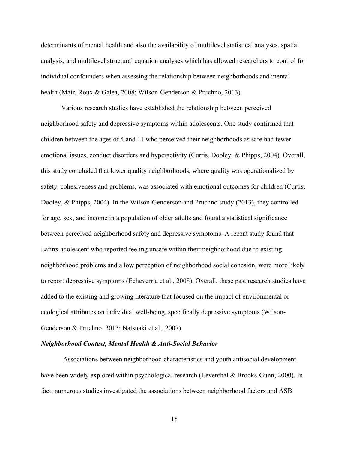determinants of mental health and also the availability of multilevel statistical analyses, spatial analysis, and multilevel structural equation analyses which has allowed researchers to control for individual confounders when assessing the relationship between neighborhoods and mental health (Mair, Roux & Galea, 2008; Wilson-Genderson & Pruchno, 2013).

Various research studies have established the relationship between perceived neighborhood safety and depressive symptoms within adolescents. One study confirmed that children between the ages of 4 and 11 who perceived their neighborhoods as safe had fewer emotional issues, conduct disorders and hyperactivity (Curtis, Dooley, & Phipps, 2004). Overall, this study concluded that lower quality neighborhoods, where quality was operationalized by safety, cohesiveness and problems, was associated with emotional outcomes for children (Curtis, Dooley, & Phipps, 2004). In the Wilson-Genderson and Pruchno study (2013), they controlled for age, sex, and income in a population of older adults and found a statistical significance between perceived neighborhood safety and depressive symptoms. A recent study found that Latinx adolescent who reported feeling unsafe within their neighborhood due to existing neighborhood problems and a low perception of neighborhood social cohesion, were more likely to report depressive symptoms (Echeverría et al., 2008). Overall, these past research studies have added to the existing and growing literature that focused on the impact of environmental or ecological attributes on individual well-being, specifically depressive symptoms (Wilson-Genderson & Pruchno, 2013; Natsuaki et al., 2007).

# *Neighborhood Context, Mental Health & Anti-Social Behavior*

Associations between neighborhood characteristics and youth antisocial development have been widely explored within psychological research (Leventhal & Brooks-Gunn, 2000). In fact, numerous studies investigated the associations between neighborhood factors and ASB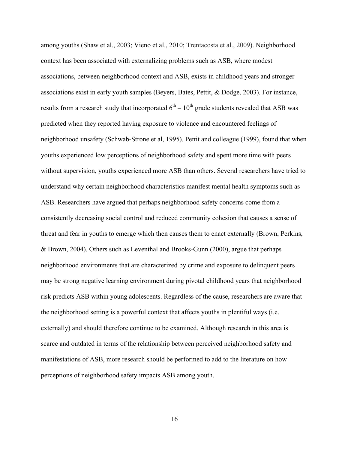among youths (Shaw et al., 2003; Vieno et al., 2010; Trentacosta et al., 2009). Neighborhood context has been associated with externalizing problems such as ASB, where modest associations, between neighborhood context and ASB, exists in childhood years and stronger associations exist in early youth samples (Beyers, Bates, Pettit, & Dodge, 2003). For instance, results from a research study that incorporated  $6^{th} - 10^{th}$  grade students revealed that ASB was predicted when they reported having exposure to violence and encountered feelings of neighborhood unsafety (Schwab-Strone et al, 1995). Pettit and colleague (1999), found that when youths experienced low perceptions of neighborhood safety and spent more time with peers without supervision, youths experienced more ASB than others. Several researchers have tried to understand why certain neighborhood characteristics manifest mental health symptoms such as ASB. Researchers have argued that perhaps neighborhood safety concerns come from a consistently decreasing social control and reduced community cohesion that causes a sense of threat and fear in youths to emerge which then causes them to enact externally (Brown, Perkins, & Brown, 2004). Others such as Leventhal and Brooks-Gunn (2000), argue that perhaps neighborhood environments that are characterized by crime and exposure to delinquent peers may be strong negative learning environment during pivotal childhood years that neighborhood risk predicts ASB within young adolescents. Regardless of the cause, researchers are aware that the neighborhood setting is a powerful context that affects youths in plentiful ways (i.e. externally) and should therefore continue to be examined. Although research in this area is scarce and outdated in terms of the relationship between perceived neighborhood safety and manifestations of ASB, more research should be performed to add to the literature on how perceptions of neighborhood safety impacts ASB among youth.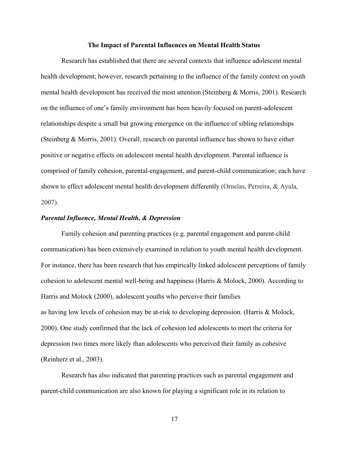#### **The Impact of Parental Influences on Mental Health Status**

Research has established that there are several contexts that influence adolescent mental health development; however, research pertaining to the influence of the family context on youth mental health development has received the most attention (Steinberg & Morris, 2001). Research on the influence of one's family environment has been heavily focused on parent-adolescent relationships despite a small but growing emergence on the influence of sibling relationships (Steinberg & Morris, 2001). Overall, research on parental influence has shown to have either positive or negative effects on adolescent mental health development. Parental influence is comprised of family cohesion, parental-engagement, and parent-child communication; each have shown to effect adolescent mental health development differently (Ornelas, Perreira, & Ayala, 2007).

#### *Parental Influence, Mental Health, & Depression*

Family cohesion and parenting practices (e.g. parental engagement and parent-child communication) has been extensively examined in relation to youth mental health development. For instance, there has been research that has empirically linked adolescent perceptions of family cohesion to adolescent mental well-being and happiness (Harris & Molock, 2000). According to Harris and Molock (2000), adolescent youths who perceive their families as having low levels of cohesion may be at-risk to developing depression. (Harris & Molock, 2000). One study confirmed that the lack of cohesion led adolescents to meet the criteria for depression two times more likely than adolescents who perceived their family as cohesive (Reinherz et al., 2003).

Research has also indicated that parenting practices such as parental engagement and parent-child communication are also known for playing a significant role in its relation to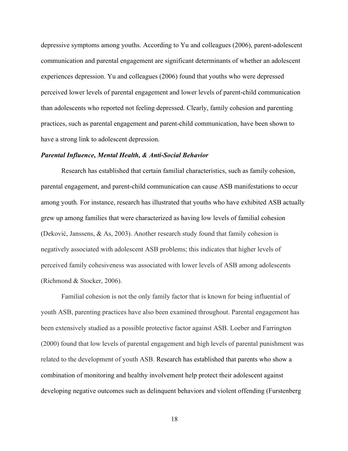depressive symptoms among youths. According to Yu and colleagues (2006), parent-adolescent communication and parental engagement are significant determinants of whether an adolescent experiences depression. Yu and colleagues (2006) found that youths who were depressed perceived lower levels of parental engagement and lower levels of parent-child communication than adolescents who reported not feeling depressed. Clearly, family cohesion and parenting practices, such as parental engagement and parent-child communication, have been shown to have a strong link to adolescent depression.

#### *Parental Influence, Mental Health, & Anti-Social Behavior*

Research has established that certain familial characteristics, such as family cohesion, parental engagement, and parent-child communication can cause ASB manifestations to occur among youth. For instance, research has illustrated that youths who have exhibited ASB actually grew up among families that were characterized as having low levels of familial cohesion (Deković, Janssens, & As, 2003). Another research study found that family cohesion is negatively associated with adolescent ASB problems; this indicates that higher levels of perceived family cohesiveness was associated with lower levels of ASB among adolescents (Richmond & Stocker, 2006).

Familial cohesion is not the only family factor that is known for being influential of youth ASB, parenting practices have also been examined throughout. Parental engagement has been extensively studied as a possible protective factor against ASB. Loeber and Farrington (2000) found that low levels of parental engagement and high levels of parental punishment was related to the development of youth ASB. Research has established that parents who show a combination of monitoring and healthy involvement help protect their adolescent against developing negative outcomes such as delinquent behaviors and violent offending (Furstenberg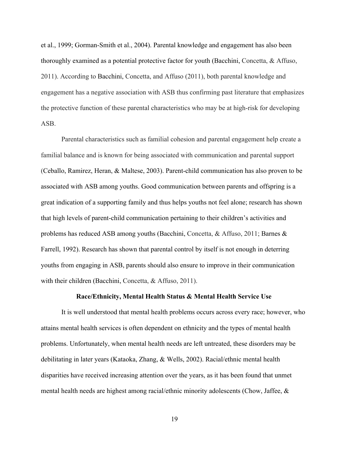et al., 1999; Gorman-Smith et al., 2004). Parental knowledge and engagement has also been thoroughly examined as a potential protective factor for youth (Bacchini, Concetta, & Affuso, 2011). According to Bacchini, Concetta, and Affuso (2011), both parental knowledge and engagement has a negative association with ASB thus confirming past literature that emphasizes the protective function of these parental characteristics who may be at high-risk for developing ASB.

Parental characteristics such as familial cohesion and parental engagement help create a familial balance and is known for being associated with communication and parental support (Ceballo, Ramirez, Heran, & Maltese, 2003). Parent-child communication has also proven to be associated with ASB among youths. Good communication between parents and offspring is a great indication of a supporting family and thus helps youths not feel alone; research has shown that high levels of parent-child communication pertaining to their children's activities and problems has reduced ASB among youths (Bacchini, Concetta, & Affuso, 2011; Barnes & Farrell, 1992). Research has shown that parental control by itself is not enough in deterring youths from engaging in ASB, parents should also ensure to improve in their communication with their children (Bacchini, Concetta, & Affuso, 2011).

#### **Race/Ethnicity, Mental Health Status & Mental Health Service Use**

It is well understood that mental health problems occurs across every race; however, who attains mental health services is often dependent on ethnicity and the types of mental health problems. Unfortunately, when mental health needs are left untreated, these disorders may be debilitating in later years (Kataoka, Zhang, & Wells, 2002). Racial/ethnic mental health disparities have received increasing attention over the years, as it has been found that unmet mental health needs are highest among racial/ethnic minority adolescents (Chow, Jaffee, &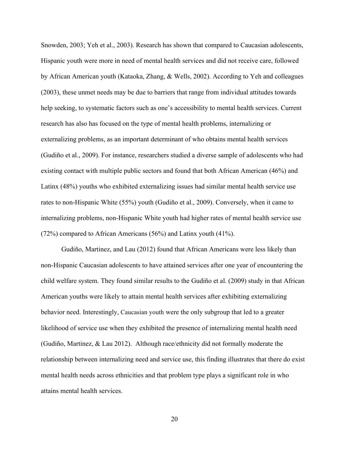Snowden, 2003; Yeh et al., 2003). Research has shown that compared to Caucasian adolescents, Hispanic youth were more in need of mental health services and did not receive care, followed by African American youth (Kataoka, Zhang, & Wells, 2002). According to Yeh and colleagues (2003), these unmet needs may be due to barriers that range from individual attitudes towards help seeking, to systematic factors such as one's accessibility to mental health services. Current research has also has focused on the type of mental health problems, internalizing or externalizing problems, as an important determinant of who obtains mental health services (Gudiño et al., 2009). For instance, researchers studied a diverse sample of adolescents who had existing contact with multiple public sectors and found that both African American (46%) and Latinx (48%) youths who exhibited externalizing issues had similar mental health service use rates to non-Hispanic White (55%) youth (Gudiño et al., 2009). Conversely, when it came to internalizing problems, non-Hispanic White youth had higher rates of mental health service use (72%) compared to African Americans (56%) and Latinx youth (41%).

Gudiño, Martinez, and Lau (2012) found that African Americans were less likely than non-Hispanic Caucasian adolescents to have attained services after one year of encountering the child welfare system. They found similar results to the Gudiño et al. (2009) study in that African American youths were likely to attain mental health services after exhibiting externalizing behavior need. Interestingly, Caucasian youth were the only subgroup that led to a greater likelihood of service use when they exhibited the presence of internalizing mental health need (Gudiño, Martinez, & Lau 2012). Although race/ethnicity did not formally moderate the relationship between internalizing need and service use, this finding illustrates that there do exist mental health needs across ethnicities and that problem type plays a significant role in who attains mental health services.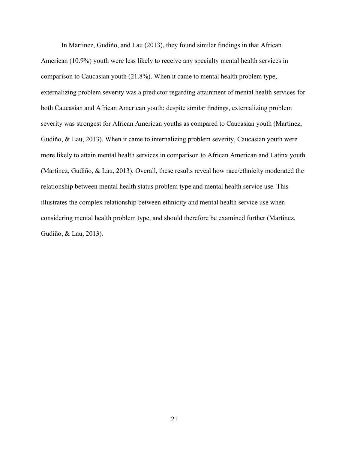In Martinez, Gudiño, and Lau (2013), they found similar findings in that African American (10.9%) youth were less likely to receive any specialty mental health services in comparison to Caucasian youth (21.8%). When it came to mental health problem type, externalizing problem severity was a predictor regarding attainment of mental health services for both Caucasian and African American youth; despite similar findings, externalizing problem severity was strongest for African American youths as compared to Caucasian youth (Martinez, Gudiño, & Lau, 2013). When it came to internalizing problem severity, Caucasian youth were more likely to attain mental health services in comparison to African American and Latinx youth (Martinez, Gudiño, & Lau, 2013). Overall, these results reveal how race/ethnicity moderated the relationship between mental health status problem type and mental health service use. This illustrates the complex relationship between ethnicity and mental health service use when considering mental health problem type, and should therefore be examined further (Martinez, Gudiño, & Lau, 2013).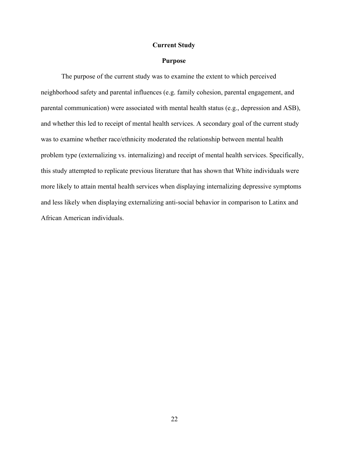# **Current Study**

# **Purpose**

The purpose of the current study was to examine the extent to which perceived neighborhood safety and parental influences (e.g. family cohesion, parental engagement, and parental communication) were associated with mental health status (e.g., depression and ASB), and whether this led to receipt of mental health services. A secondary goal of the current study was to examine whether race/ethnicity moderated the relationship between mental health problem type (externalizing vs. internalizing) and receipt of mental health services. Specifically, this study attempted to replicate previous literature that has shown that White individuals were more likely to attain mental health services when displaying internalizing depressive symptoms and less likely when displaying externalizing anti-social behavior in comparison to Latinx and African American individuals.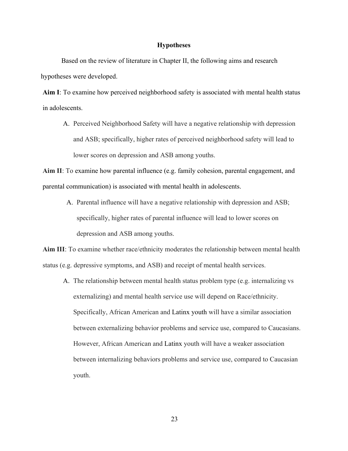# **Hypotheses**

Based on the review of literature in Chapter II, the following aims and research hypotheses were developed.

**Aim I**: To examine how perceived neighborhood safety is associated with mental health status in adolescents.

A. Perceived Neighborhood Safety will have a negative relationship with depression and ASB; specifically, higher rates of perceived neighborhood safety will lead to lower scores on depression and ASB among youths.

**Aim II**: To examine how parental influence (e.g. family cohesion, parental engagement, and parental communication) is associated with mental health in adolescents.

A. Parental influence will have a negative relationship with depression and ASB; specifically, higher rates of parental influence will lead to lower scores on depression and ASB among youths.

**Aim III**: To examine whether race/ethnicity moderates the relationship between mental health status (e.g. depressive symptoms, and ASB) and receipt of mental health services.

A. The relationship between mental health status problem type (e.g. internalizing vs externalizing) and mental health service use will depend on Race/ethnicity. Specifically, African American and Latinx youth will have a similar association between externalizing behavior problems and service use, compared to Caucasians. However, African American and Latinx youth will have a weaker association between internalizing behaviors problems and service use, compared to Caucasian youth.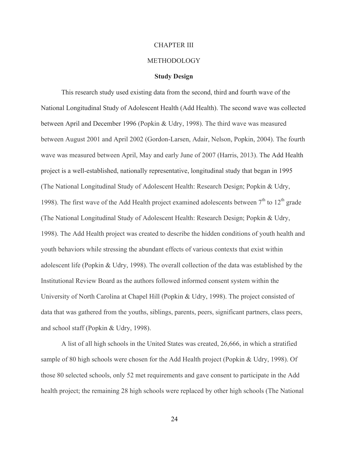#### CHAPTER III

# METHODOLOGY

#### **Study Design**

This research study used existing data from the second, third and fourth wave of the National Longitudinal Study of Adolescent Health (Add Health). The second wave was collected between April and December 1996 (Popkin & Udry, 1998). The third wave was measured between August 2001 and April 2002 (Gordon-Larsen, Adair, Nelson, Popkin, 2004). The fourth wave was measured between April, May and early June of 2007 (Harris, 2013). The Add Health project is a well-established, nationally representative, longitudinal study that began in 1995 (The National Longitudinal Study of Adolescent Health: Research Design; Popkin & Udry, 1998). The first wave of the Add Health project examined adolescents between  $7<sup>th</sup>$  to  $12<sup>th</sup>$  grade (The National Longitudinal Study of Adolescent Health: Research Design; Popkin & Udry, 1998). The Add Health project was created to describe the hidden conditions of youth health and youth behaviors while stressing the abundant effects of various contexts that exist within adolescent life (Popkin & Udry, 1998). The overall collection of the data was established by the Institutional Review Board as the authors followed informed consent system within the University of North Carolina at Chapel Hill (Popkin & Udry, 1998). The project consisted of data that was gathered from the youths, siblings, parents, peers, significant partners, class peers, and school staff (Popkin & Udry, 1998).

A list of all high schools in the United States was created, 26,666, in which a stratified sample of 80 high schools were chosen for the Add Health project (Popkin & Udry, 1998). Of those 80 selected schools, only 52 met requirements and gave consent to participate in the Add health project; the remaining 28 high schools were replaced by other high schools (The National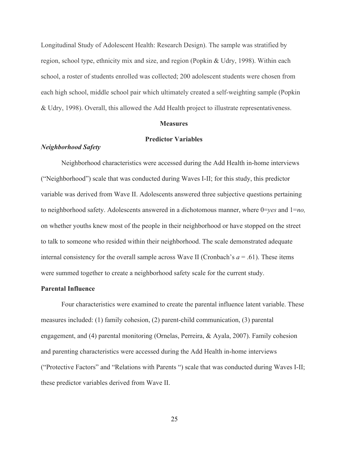Longitudinal Study of Adolescent Health: Research Design). The sample was stratified by region, school type, ethnicity mix and size, and region (Popkin & Udry, 1998). Within each school, a roster of students enrolled was collected; 200 adolescent students were chosen from each high school, middle school pair which ultimately created a self-weighting sample (Popkin & Udry, 1998). Overall, this allowed the Add Health project to illustrate representativeness.

#### **Measures**

#### **Predictor Variables**

# *Neighborhood Safety*

Neighborhood characteristics were accessed during the Add Health in-home interviews ("Neighborhood") scale that was conducted during Waves I-II; for this study, this predictor variable was derived from Wave II. Adolescents answered three subjective questions pertaining to neighborhood safety. Adolescents answered in a dichotomous manner, where 0=*yes* and 1=*no,*  on whether youths knew most of the people in their neighborhood or have stopped on the street to talk to someone who resided within their neighborhood. The scale demonstrated adequate internal consistency for the overall sample across Wave II (Cronbach's  $a = .61$ ). These items were summed together to create a neighborhood safety scale for the current study.

#### **Parental Influence**

Four characteristics were examined to create the parental influence latent variable. These measures included: (1) family cohesion, (2) parent-child communication, (3) parental engagement, and (4) parental monitoring (Ornelas, Perreira, & Ayala, 2007). Family cohesion and parenting characteristics were accessed during the Add Health in-home interviews ("Protective Factors" and "Relations with Parents ") scale that was conducted during Waves I-II; these predictor variables derived from Wave II.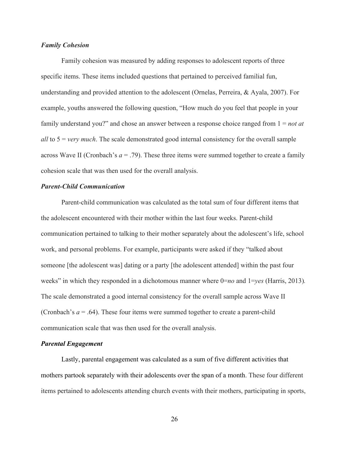# *Family Cohesion*

Family cohesion was measured by adding responses to adolescent reports of three specific items. These items included questions that pertained to perceived familial fun, understanding and provided attention to the adolescent (Ornelas, Perreira, & Ayala, 2007). For example, youths answered the following question, "How much do you feel that people in your family understand you?" and chose an answer between a response choice ranged from 1 = *not at all* to 5 = *very much*. The scale demonstrated good internal consistency for the overall sample across Wave II (Cronbach's *a* = .79). These three items were summed together to create a family cohesion scale that was then used for the overall analysis.

# *Parent-Child Communication*

Parent-child communication was calculated as the total sum of four different items that the adolescent encountered with their mother within the last four weeks. Parent-child communication pertained to talking to their mother separately about the adolescent's life, school work, and personal problems. For example, participants were asked if they "talked about someone [the adolescent was] dating or a party [the adolescent attended] within the past four weeks" in which they responded in a dichotomous manner where  $0=n\omega$  and  $1=\gamma e s$  (Harris, 2013). The scale demonstrated a good internal consistency for the overall sample across Wave II (Cronbach's  $a = .64$ ). These four items were summed together to create a parent-child communication scale that was then used for the overall analysis.

#### *Parental Engagement*

Lastly, parental engagement was calculated as a sum of five different activities that mothers partook separately with their adolescents over the span of a month. These four different items pertained to adolescents attending church events with their mothers, participating in sports,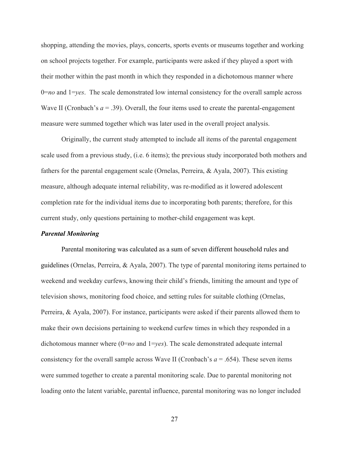shopping, attending the movies, plays, concerts, sports events or museums together and working on school projects together. For example, participants were asked if they played a sport with their mother within the past month in which they responded in a dichotomous manner where 0=*no* and 1=*yes*. The scale demonstrated low internal consistency for the overall sample across Wave II (Cronbach's  $a = .39$ ). Overall, the four items used to create the parental-engagement measure were summed together which was later used in the overall project analysis.

Originally, the current study attempted to include all items of the parental engagement scale used from a previous study, (i.e. 6 items); the previous study incorporated both mothers and fathers for the parental engagement scale (Ornelas, Perreira, & Ayala, 2007). This existing measure, although adequate internal reliability, was re-modified as it lowered adolescent completion rate for the individual items due to incorporating both parents; therefore, for this current study, only questions pertaining to mother-child engagement was kept.

#### *Parental Monitoring*

Parental monitoring was calculated as a sum of seven different household rules and guidelines (Ornelas, Perreira, & Ayala, 2007). The type of parental monitoring items pertained to weekend and weekday curfews, knowing their child's friends, limiting the amount and type of television shows, monitoring food choice, and setting rules for suitable clothing (Ornelas, Perreira, & Ayala, 2007). For instance, participants were asked if their parents allowed them to make their own decisions pertaining to weekend curfew times in which they responded in a dichotomous manner where (0=*no* and 1=*yes*). The scale demonstrated adequate internal consistency for the overall sample across Wave II (Cronbach's  $a = .654$ ). These seven items were summed together to create a parental monitoring scale. Due to parental monitoring not loading onto the latent variable, parental influence, parental monitoring was no longer included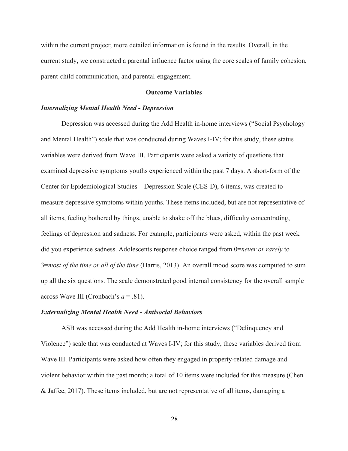within the current project; more detailed information is found in the results. Overall, in the current study, we constructed a parental influence factor using the core scales of family cohesion, parent-child communication, and parental-engagement.

### **Outcome Variables**

### *Internalizing Mental Health Need - Depression*

Depression was accessed during the Add Health in-home interviews ("Social Psychology and Mental Health") scale that was conducted during Waves I-IV; for this study, these status variables were derived from Wave III. Participants were asked a variety of questions that examined depressive symptoms youths experienced within the past 7 days. A short-form of the Center for Epidemiological Studies – Depression Scale (CES-D), 6 items, was created to measure depressive symptoms within youths. These items included, but are not representative of all items, feeling bothered by things, unable to shake off the blues, difficulty concentrating, feelings of depression and sadness. For example, participants were asked, within the past week did you experience sadness. Adolescents response choice ranged from 0=*never or rarely* to 3=*most of the time or all of the time* (Harris, 2013). An overall mood score was computed to sum up all the six questions. The scale demonstrated good internal consistency for the overall sample across Wave III (Cronbach's *a* = .81).

### *Externalizing Mental Health Need - Antisocial Behaviors*

ASB was accessed during the Add Health in-home interviews ("Delinquency and Violence") scale that was conducted at Waves I-IV; for this study, these variables derived from Wave III. Participants were asked how often they engaged in property-related damage and violent behavior within the past month; a total of 10 items were included for this measure (Chen & Jaffee, 2017). These items included, but are not representative of all items, damaging a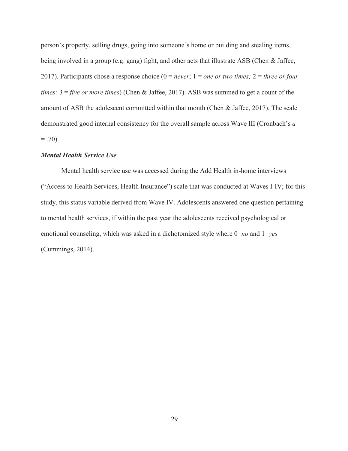person's property, selling drugs, going into someone's home or building and stealing items, being involved in a group (e.g. gang) fight, and other acts that illustrate ASB (Chen & Jaffee, 2017). Participants chose a response choice (0 = *never*; 1 = *one or two times;* 2 = *three or four times;* 3 = *five or more times*) (Chen & Jaffee, 2017). ASB was summed to get a count of the amount of ASB the adolescent committed within that month (Chen & Jaffee, 2017). The scale demonstrated good internal consistency for the overall sample across Wave III (Cronbach's *a*  $= .70$ ).

### *Mental Health Service Use*

Mental health service use was accessed during the Add Health in-home interviews ("Access to Health Services, Health Insurance") scale that was conducted at Waves I-IV; for this study, this status variable derived from Wave IV. Adolescents answered one question pertaining to mental health services, if within the past year the adolescents received psychological or emotional counseling, which was asked in a dichotomized style where 0=*no* and 1=*yes*  (Cummings, 2014).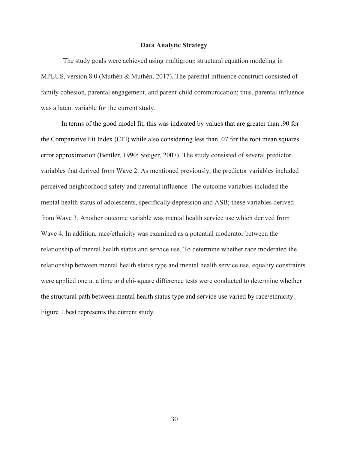#### **Data Analytic Strategy**

The study goals were achieved using multigroup structural equation modeling in MPLUS, version 8.0 (Muthén & Muthén, 2017). The parental influence construct consisted of family cohesion, parental engagement, and parent-child communication; thus, parental influence was a latent variable for the current study.

In terms of the good model fit, this was indicated by values that are greater than .90 for the Comparative Fit Index (CFI) while also considering less than .07 for the root mean squares error approximation (Bentler, 1990; Steiger, 2007). The study consisted of several predictor variables that derived from Wave 2. As mentioned previously, the predictor variables included perceived neighborhood safety and parental influence. The outcome variables included the mental health status of adolescents, specifically depression and ASB; these variables derived from Wave 3. Another outcome variable was mental health service use which derived from Wave 4. In addition, race/ethnicity was examined as a potential moderator between the relationship of mental health status and service use. To determine whether race moderated the relationship between mental health status type and mental health service use, equality constraints were applied one at a time and chi-square difference tests were conducted to determine whether the structural path between mental health status type and service use varied by race/ethnicity. Figure 1 best represents the current study.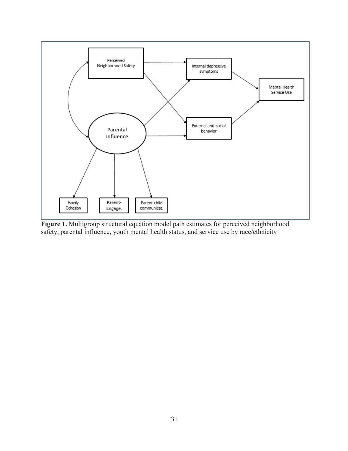

**Figure 1.** Multigroup structural equation model path estimates for perceived neighborhood safety, parental influence, youth mental health status, and service use by race/ethnicity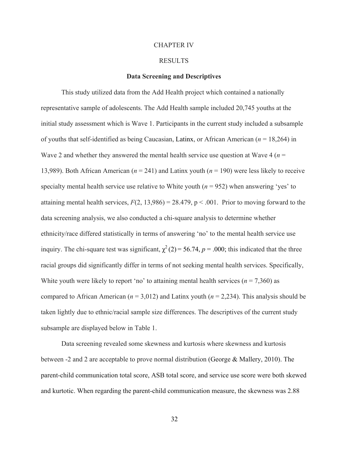### CHAPTER IV

### RESULTS

### **Data Screening and Descriptives**

This study utilized data from the Add Health project which contained a nationally representative sample of adolescents. The Add Health sample included 20,745 youths at the initial study assessment which is Wave 1. Participants in the current study included a subsample of youths that self-identified as being Caucasian, Latinx, or African American (*n* = 18,264) in Wave 2 and whether they answered the mental health service use question at Wave 4 ( $n =$ 13,989). Both African American (*n* = 241) and Latinx youth (*n* = 190) were less likely to receive specialty mental health service use relative to White youth (*n* = 952) when answering 'yes' to attaining mental health services,  $F(2, 13,986) = 28.479$ ,  $p < .001$ . Prior to moving forward to the data screening analysis, we also conducted a chi-square analysis to determine whether ethnicity/race differed statistically in terms of answering 'no' to the mental health service use inquiry. The chi-square test was significant,  $\chi^2(2) = 56.74$ ,  $p = .000$ ; this indicated that the three racial groups did significantly differ in terms of not seeking mental health services. Specifically, White youth were likely to report 'no' to attaining mental health services ( $n = 7,360$ ) as compared to African American (*n* = 3,012) and Latinx youth (*n* = 2,234). This analysis should be taken lightly due to ethnic/racial sample size differences. The descriptives of the current study subsample are displayed below in Table 1.

Data screening revealed some skewness and kurtosis where skewness and kurtosis between -2 and 2 are acceptable to prove normal distribution (George & Mallery, 2010). The parent-child communication total score, ASB total score, and service use score were both skewed and kurtotic. When regarding the parent-child communication measure, the skewness was 2.88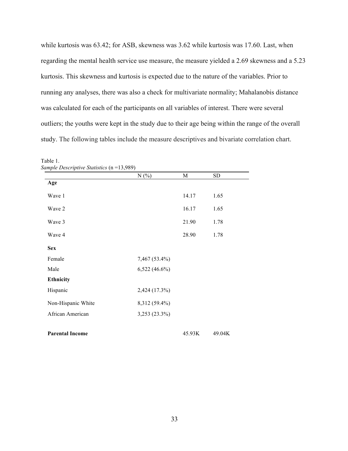while kurtosis was 63.42; for ASB, skewness was 3.62 while kurtosis was 17.60. Last, when regarding the mental health service use measure, the measure yielded a 2.69 skewness and a 5.23 kurtosis. This skewness and kurtosis is expected due to the nature of the variables. Prior to running any analyses, there was also a check for multivariate normality; Mahalanobis distance was calculated for each of the participants on all variables of interest. There were several outliers; the youths were kept in the study due to their age being within the range of the overall study. The following tables include the measure descriptives and bivariate correlation chart.

|                        | N(%)            | $\mathbf M$ | SD     |
|------------------------|-----------------|-------------|--------|
| Age                    |                 |             |        |
| Wave 1                 |                 | 14.17       | 1.65   |
| Wave 2                 |                 | 16.17       | 1.65   |
| Wave 3                 |                 | 21.90       | 1.78   |
| Wave 4                 |                 | 28.90       | 1.78   |
| <b>Sex</b>             |                 |             |        |
| Female                 | 7,467 (53.4%)   |             |        |
| Male                   | $6,522(46.6\%)$ |             |        |
| <b>Ethnicity</b>       |                 |             |        |
| Hispanic               | 2,424 (17.3%)   |             |        |
| Non-Hispanic White     | 8,312 (59.4%)   |             |        |
| African American       | 3,253 (23.3%)   |             |        |
|                        |                 |             |        |
| <b>Parental Income</b> |                 | 45.93K      | 49.04K |

Table 1. *Sample Descriptive Statistics* (n =13,989)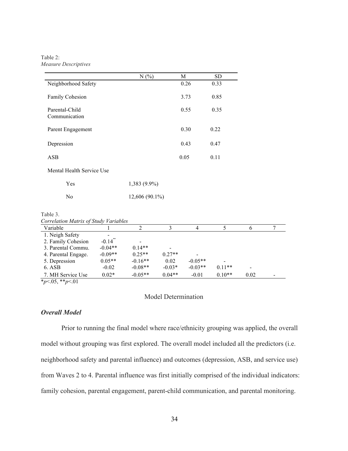Table 2: *Measure Descriptives*

|                                 | N(%            | M    | SD.  |
|---------------------------------|----------------|------|------|
| Neighborhood Safety             |                | 0.26 | 0.33 |
| <b>Family Cohesion</b>          |                | 3.73 | 0.85 |
| Parental-Child<br>Communication |                | 0.55 | 0.35 |
| Parent Engagement               |                | 0.30 | 0.22 |
| Depression                      |                | 0.43 | 0.47 |
| <b>ASB</b>                      |                | 0.05 | 0.11 |
| Mental Health Service Use       |                |      |      |
| Yes                             | 1,383 (9.9%)   |      |      |
| N <sub>0</sub>                  | 12,606 (90.1%) |      |      |

| Correlation maints of study variables |                       |           |          |           |          |      |  |
|---------------------------------------|-----------------------|-----------|----------|-----------|----------|------|--|
| Variable                              |                       |           |          | 4         |          |      |  |
| 1. Neigh Safety                       | $\,$                  |           |          |           |          |      |  |
| 2. Family Cohesion                    | $-0.14$ <sup>**</sup> | -         |          |           |          |      |  |
| 3. Parental Commu.                    | $-0.04**$             | $0.14**$  |          |           |          |      |  |
| 4. Parental Engage.                   | $-0.09**$             | $0.25**$  | $0.27**$ |           |          |      |  |
| 5. Depression                         | $0.05**$              | $-0.16**$ | 0.02     | $-0.05**$ |          |      |  |
| 6. ASB                                | $-0.02$               | $-0.08**$ | $-0.03*$ | $-0.03**$ | $0.11**$ |      |  |
| 7. MH Service Use                     | $0.02*$               | $-0.05**$ | $0.04**$ | $-0.01$   | $0.10**$ | 0.02 |  |

\**p*<.05, \*\**p*<.01

Model Determination

# *Overall Model*

Prior to running the final model where race/ethnicity grouping was applied, the overall model without grouping was first explored. The overall model included all the predictors (i.e. neighborhood safety and parental influence) and outcomes (depression, ASB, and service use) from Waves 2 to 4. Parental influence was first initially comprised of the individual indicators: family cohesion, parental engagement, parent-child communication, and parental monitoring.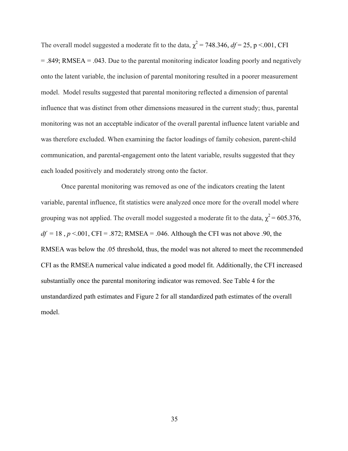The overall model suggested a moderate fit to the data,  $\chi^2$  = 748.346, *df* = 25, p <.001, CFI = .849; RMSEA = .043. Due to the parental monitoring indicator loading poorly and negatively onto the latent variable, the inclusion of parental monitoring resulted in a poorer measurement model. Model results suggested that parental monitoring reflected a dimension of parental influence that was distinct from other dimensions measured in the current study; thus, parental monitoring was not an acceptable indicator of the overall parental influence latent variable and was therefore excluded. When examining the factor loadings of family cohesion, parent-child communication, and parental-engagement onto the latent variable, results suggested that they each loaded positively and moderately strong onto the factor.

Once parental monitoring was removed as one of the indicators creating the latent variable, parental influence, fit statistics were analyzed once more for the overall model where grouping was not applied. The overall model suggested a moderate fit to the data,  $\chi^2$  = 605.376,  $df = 18$ ,  $p < .001$ , CFI = .872; RMSEA = .046. Although the CFI was not above .90, the RMSEA was below the .05 threshold, thus, the model was not altered to meet the recommended CFI as the RMSEA numerical value indicated a good model fit. Additionally, the CFI increased substantially once the parental monitoring indicator was removed. See Table 4 for the unstandardized path estimates and Figure 2 for all standardized path estimates of the overall model.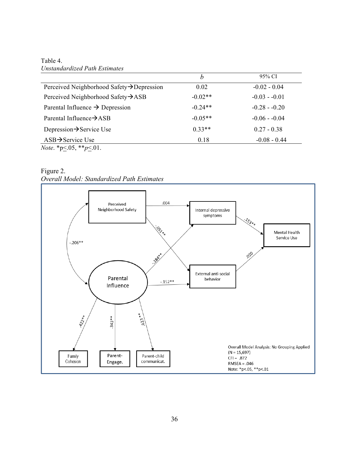Table 4. *Unstandardized Path Estimates*

|                                                 | b         | 95% CI         |
|-------------------------------------------------|-----------|----------------|
| Perceived Neighborhood Safety→Depression        | 0.02      | $-0.02 - 0.04$ |
| Perceived Neighborhood Safety $\rightarrow$ ASB | $-0.02**$ | $-0.03 - 0.01$ |
| Parental Influence $\rightarrow$ Depression     | $-0.24**$ | $-0.28 - 0.20$ |
| Parental Influence $\rightarrow$ ASB            | $-0.05**$ | $-0.06 - 0.04$ |
| Depression $\rightarrow$ Service Use            | $0.33**$  | $0.27 - 0.38$  |
| $ASB \rightarrow$ Service Use                   | 0.18      | $-0.08 - 0.44$ |
| <i>Note</i> . *p<.05, **p<.01.                  |           |                |

Figure 2. *Overall Model: Standardized Path Estimates*

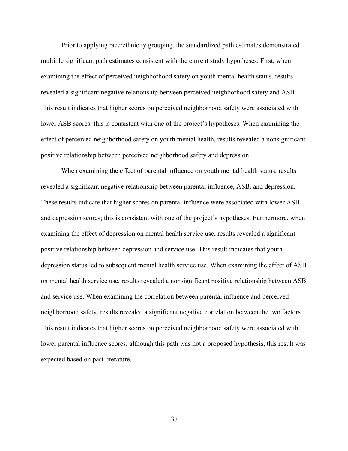Prior to applying race/ethnicity grouping, the standardized path estimates demonstrated multiple significant path estimates consistent with the current study hypotheses. First, when examining the effect of perceived neighborhood safety on youth mental health status, results revealed a significant negative relationship between perceived neighborhood safety and ASB. This result indicates that higher scores on perceived neighborhood safety were associated with lower ASB scores; this is consistent with one of the project's hypotheses. When examining the effect of perceived neighborhood safety on youth mental health, results revealed a nonsignificant positive relationship between perceived neighborhood safety and depression.

When examining the effect of parental influence on youth mental health status, results revealed a significant negative relationship between parental influence, ASB, and depression. These results indicate that higher scores on parental influence were associated with lower ASB and depression scores; this is consistent with one of the project's hypotheses. Furthermore, when examining the effect of depression on mental health service use, results revealed a significant positive relationship between depression and service use. This result indicates that youth depression status led to subsequent mental health service use. When examining the effect of ASB on mental health service use, results revealed a nonsignificant positive relationship between ASB and service use. When examining the correlation between parental influence and perceived neighborhood safety, results revealed a significant negative correlation between the two factors. This result indicates that higher scores on perceived neighborhood safety were associated with lower parental influence scores; although this path was not a proposed hypothesis, this result was expected based on past literature.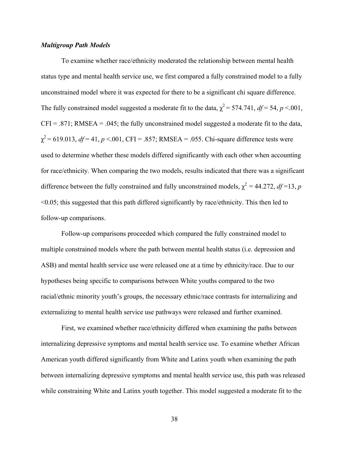### *Multigroup Path Models*

To examine whether race/ethnicity moderated the relationship between mental health status type and mental health service use, we first compared a fully constrained model to a fully unconstrained model where it was expected for there to be a significant chi square difference. The fully constrained model suggested a moderate fit to the data,  $\chi^2$  = 574.741, *df* = 54, *p* <.001,  $CFI = .871$ ; RMSEA = .045; the fully unconstrained model suggested a moderate fit to the data,  $\chi^2$  = 619.013, *df* = 41, *p* <.001, CFI = .857; RMSEA = .055. Chi-square difference tests were used to determine whether these models differed significantly with each other when accounting for race/ethnicity. When comparing the two models, results indicated that there was a significant difference between the fully constrained and fully unconstrained models,  $\chi^2 = 44.272$ ,  $df = 13$ , *p* <0.05; this suggested that this path differed significantly by race/ethnicity. This then led to follow-up comparisons.

Follow-up comparisons proceeded which compared the fully constrained model to multiple constrained models where the path between mental health status (i.e. depression and ASB) and mental health service use were released one at a time by ethnicity/race. Due to our hypotheses being specific to comparisons between White youths compared to the two racial/ethnic minority youth's groups, the necessary ethnic/race contrasts for internalizing and externalizing to mental health service use pathways were released and further examined.

First, we examined whether race/ethnicity differed when examining the paths between internalizing depressive symptoms and mental health service use. To examine whether African American youth differed significantly from White and Latinx youth when examining the path between internalizing depressive symptoms and mental health service use, this path was released while constraining White and Latinx youth together. This model suggested a moderate fit to the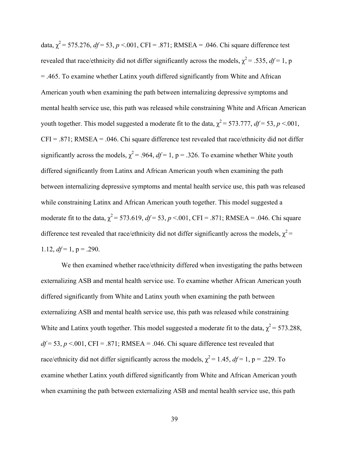data,  $\chi^2$  = 575.276, *df* = 53, *p* <.001, CFI = .871; RMSEA = .046. Chi square difference test revealed that race/ethnicity did not differ significantly across the models,  $\chi^2$  = .535, *df* = 1, p = .465. To examine whether Latinx youth differed significantly from White and African American youth when examining the path between internalizing depressive symptoms and mental health service use, this path was released while constraining White and African American youth together. This model suggested a moderate fit to the data,  $\chi^2$  = 573.777, *df* = 53, *p* <.001,  $CFI = .871$ ; RMSEA = .046. Chi square difference test revealed that race/ethnicity did not differ significantly across the models,  $\chi^2$  = .964, *df* = 1, p = .326. To examine whether White youth differed significantly from Latinx and African American youth when examining the path between internalizing depressive symptoms and mental health service use, this path was released while constraining Latinx and African American youth together. This model suggested a moderate fit to the data,  $\chi^2$  = 573.619, *df* = 53, *p* <.001, CFI = .871; RMSEA = .046. Chi square difference test revealed that race/ethnicity did not differ significantly across the models,  $\chi^2$  = 1.12,  $df = 1$ ,  $p = .290$ .

We then examined whether race/ethnicity differed when investigating the paths between externalizing ASB and mental health service use. To examine whether African American youth differed significantly from White and Latinx youth when examining the path between externalizing ASB and mental health service use, this path was released while constraining White and Latinx youth together. This model suggested a moderate fit to the data,  $\chi^2$  = 573.288,  $df = 53$ ,  $p < 001$ , CFI = .871; RMSEA = .046. Chi square difference test revealed that race/ethnicity did not differ significantly across the models,  $\chi^2 = 1.45$ ,  $df = 1$ , p = .229. To examine whether Latinx youth differed significantly from White and African American youth when examining the path between externalizing ASB and mental health service use, this path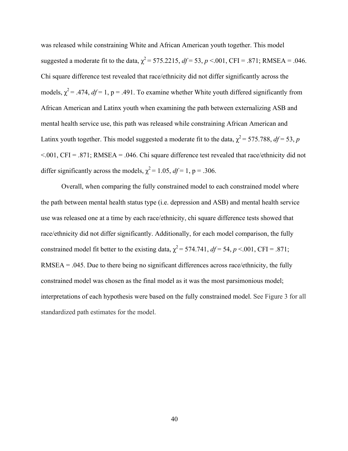was released while constraining White and African American youth together. This model suggested a moderate fit to the data,  $\chi^2$  = 575.2215,  $df$  = 53, *p* <.001, CFI = .871; RMSEA = .046. Chi square difference test revealed that race/ethnicity did not differ significantly across the models,  $\chi^2$  = .474, *df* = 1, p = .491. To examine whether White youth differed significantly from African American and Latinx youth when examining the path between externalizing ASB and mental health service use, this path was released while constraining African American and Latinx youth together. This model suggested a moderate fit to the data,  $\chi^2$  = 575.788, *df* = 53, *p*  $\leq$  001, CFI = .871; RMSEA = .046. Chi square difference test revealed that race/ethnicity did not differ significantly across the models,  $\chi^2$  = 1.05, *df* = 1, p = .306.

Overall, when comparing the fully constrained model to each constrained model where the path between mental health status type (i.e. depression and ASB) and mental health service use was released one at a time by each race/ethnicity, chi square difference tests showed that race/ethnicity did not differ significantly. Additionally, for each model comparison, the fully constrained model fit better to the existing data,  $\chi^2$  = 574.741, *df* = 54, *p* <.001, CFI = .871; RMSEA = .045. Due to there being no significant differences across race/ethnicity, the fully constrained model was chosen as the final model as it was the most parsimonious model; interpretations of each hypothesis were based on the fully constrained model. See Figure 3 for all standardized path estimates for the model.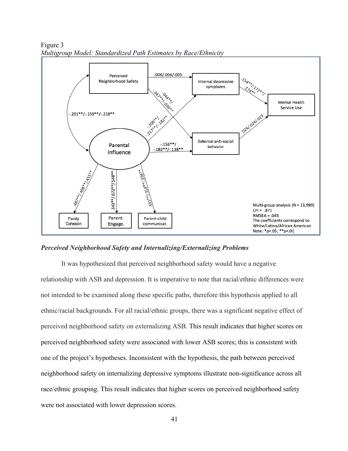

Figure 3 *Multigroup Model: Standardized Path Estimates by Race/Ethnicity*

## *Perceived Neighborhood Safety and Internalizing/Externalizing Problems*

It was hypothesized that perceived neighborhood safety would have a negative relationship with ASB and depression. It is imperative to note that racial/ethnic differences were not intended to be examined along these specific paths, therefore this hypothesis applied to all ethnic/racial backgrounds. For all racial/ethnic groups, there was a significant negative effect of perceived neighborhood safety on externalizing ASB. This result indicates that higher scores on perceived neighborhood safety were associated with lower ASB scores; this is consistent with one of the project's hypotheses. Inconsistent with the hypothesis, the path between perceived neighborhood safety on internalizing depressive symptoms illustrate non-significance across all race/ethnic grouping. This result indicates that higher scores on perceived neighborhood safety were not associated with lower depression scores.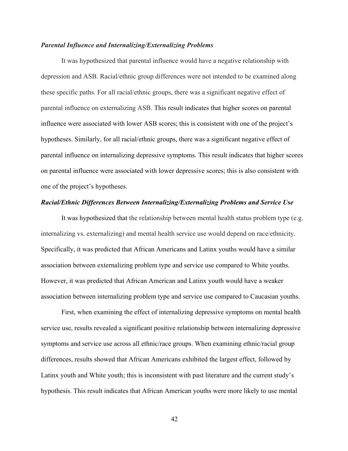### *Parental Influence and Internalizing/Externalizing Problems*

It was hypothesized that parental influence would have a negative relationship with depression and ASB. Racial/ethnic group differences were not intended to be examined along these specific paths. For all racial/ethnic groups, there was a significant negative effect of parental influence on externalizing ASB. This result indicates that higher scores on parental influence were associated with lower ASB scores; this is consistent with one of the project's hypotheses. Similarly, for all racial/ethnic groups, there was a significant negative effect of parental influence on internalizing depressive symptoms. This result indicates that higher scores on parental influence were associated with lower depressive scores; this is also consistent with one of the project's hypotheses.

### *Racial/Ethnic Differences Between Internalizing/Externalizing Problems and Service Use*

It was hypothesized that the relationship between mental health status problem type (e.g. internalizing vs. externalizing) and mental health service use would depend on race/ethnicity. Specifically, it was predicted that African Americans and Latinx youths would have a similar association between externalizing problem type and service use compared to White youths. However, it was predicted that African American and Latinx youth would have a weaker association between internalizing problem type and service use compared to Caucasian youths.

First, when examining the effect of internalizing depressive symptoms on mental health service use, results revealed a significant positive relationship between internalizing depressive symptoms and service use across all ethnic/race groups. When examining ethnic/racial group differences, results showed that African Americans exhibited the largest effect, followed by Latinx youth and White youth; this is inconsistent with past literature and the current study's hypothesis. This result indicates that African American youths were more likely to use mental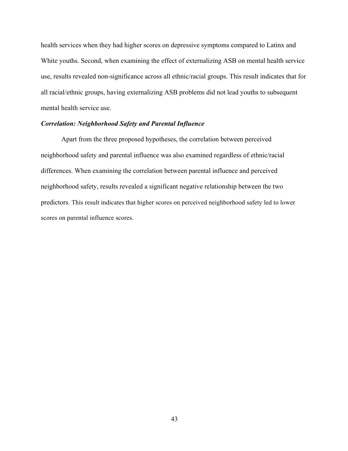health services when they had higher scores on depressive symptoms compared to Latinx and White youths. Second, when examining the effect of externalizing ASB on mental health service use, results revealed non-significance across all ethnic/racial groups. This result indicates that for all racial/ethnic groups, having externalizing ASB problems did not lead youths to subsequent mental health service use.

## *Correlation: Neighborhood Safety and Parental Influence*

Apart from the three proposed hypotheses, the correlation between perceived neighborhood safety and parental influence was also examined regardless of ethnic/racial differences. When examining the correlation between parental influence and perceived neighborhood safety, results revealed a significant negative relationship between the two predictors. This result indicates that higher scores on perceived neighborhood safety led to lower scores on parental influence scores.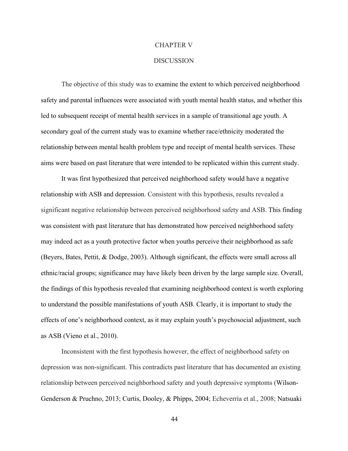#### CHAPTER V

### DISCUSSION

The objective of this study was to examine the extent to which perceived neighborhood safety and parental influences were associated with youth mental health status, and whether this led to subsequent receipt of mental health services in a sample of transitional age youth. A secondary goal of the current study was to examine whether race/ethnicity moderated the relationship between mental health problem type and receipt of mental health services. These aims were based on past literature that were intended to be replicated within this current study.

It was first hypothesized that perceived neighborhood safety would have a negative relationship with ASB and depression. Consistent with this hypothesis, results revealed a significant negative relationship between perceived neighborhood safety and ASB. This finding was consistent with past literature that has demonstrated how perceived neighborhood safety may indeed act as a youth protective factor when youths perceive their neighborhood as safe (Beyers, Bates, Pettit, & Dodge, 2003). Although significant, the effects were small across all ethnic/racial groups; significance may have likely been driven by the large sample size. Overall, the findings of this hypothesis revealed that examining neighborhood context is worth exploring to understand the possible manifestations of youth ASB. Clearly, it is important to study the effects of one's neighborhood context, as it may explain youth's psychosocial adjustment, such as ASB (Vieno et al., 2010).

Inconsistent with the first hypothesis however, the effect of neighborhood safety on depression was non-significant. This contradicts past literature that has documented an existing relationship between perceived neighborhood safety and youth depressive symptoms (Wilson-Genderson & Pruchno, 2013; Curtis, Dooley, & Phipps, 2004; Echeverría et al., 2008; Natsuaki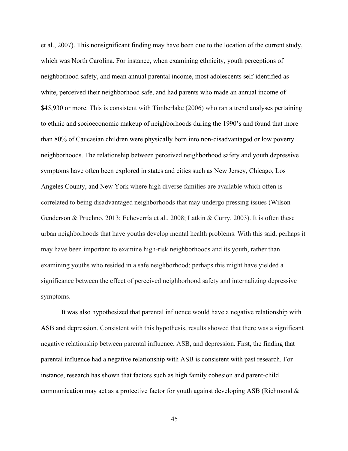et al., 2007). This nonsignificant finding may have been due to the location of the current study, which was North Carolina. For instance, when examining ethnicity, youth perceptions of neighborhood safety, and mean annual parental income, most adolescents self-identified as white, perceived their neighborhood safe, and had parents who made an annual income of \$45,930 or more. This is consistent with Timberlake (2006) who ran a trend analyses pertaining to ethnic and socioeconomic makeup of neighborhoods during the 1990's and found that more than 80% of Caucasian children were physically born into non-disadvantaged or low poverty neighborhoods. The relationship between perceived neighborhood safety and youth depressive symptoms have often been explored in states and cities such as New Jersey, Chicago, Los Angeles County, and New York where high diverse families are available which often is correlated to being disadvantaged neighborhoods that may undergo pressing issues (Wilson-Genderson & Pruchno, 2013; Echeverría et al., 2008; Latkin & Curry, 2003). It is often these urban neighborhoods that have youths develop mental health problems. With this said, perhaps it may have been important to examine high-risk neighborhoods and its youth, rather than examining youths who resided in a safe neighborhood; perhaps this might have yielded a significance between the effect of perceived neighborhood safety and internalizing depressive symptoms.

It was also hypothesized that parental influence would have a negative relationship with ASB and depression. Consistent with this hypothesis, results showed that there was a significant negative relationship between parental influence, ASB, and depression. First, the finding that parental influence had a negative relationship with ASB is consistent with past research. For instance, research has shown that factors such as high family cohesion and parent-child communication may act as a protective factor for youth against developing ASB (Richmond  $\&$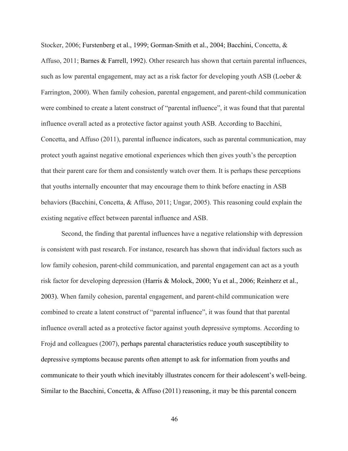Stocker, 2006; Furstenberg et al., 1999; Gorman-Smith et al., 2004; Bacchini, Concetta, & Affuso, 2011; Barnes & Farrell, 1992). Other research has shown that certain parental influences, such as low parental engagement, may act as a risk factor for developing youth ASB (Loeber & Farrington, 2000). When family cohesion, parental engagement, and parent-child communication were combined to create a latent construct of "parental influence", it was found that that parental influence overall acted as a protective factor against youth ASB. According to Bacchini, Concetta, and Affuso (2011), parental influence indicators, such as parental communication, may protect youth against negative emotional experiences which then gives youth's the perception that their parent care for them and consistently watch over them. It is perhaps these perceptions that youths internally encounter that may encourage them to think before enacting in ASB behaviors (Bacchini, Concetta, & Affuso, 2011; Ungar, 2005). This reasoning could explain the existing negative effect between parental influence and ASB.

Second, the finding that parental influences have a negative relationship with depression is consistent with past research. For instance, research has shown that individual factors such as low family cohesion, parent-child communication, and parental engagement can act as a youth risk factor for developing depression (Harris & Molock, 2000; Yu et al., 2006; Reinherz et al., 2003). When family cohesion, parental engagement, and parent-child communication were combined to create a latent construct of "parental influence", it was found that that parental influence overall acted as a protective factor against youth depressive symptoms. According to Frojd and colleagues (2007), perhaps parental characteristics reduce youth susceptibility to depressive symptoms because parents often attempt to ask for information from youths and communicate to their youth which inevitably illustrates concern for their adolescent's well-being. Similar to the Bacchini, Concetta, & Affuso (2011) reasoning, it may be this parental concern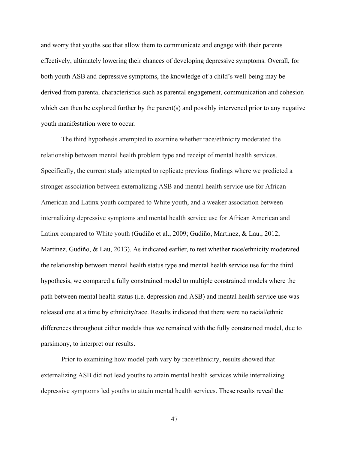and worry that youths see that allow them to communicate and engage with their parents effectively, ultimately lowering their chances of developing depressive symptoms. Overall, for both youth ASB and depressive symptoms, the knowledge of a child's well-being may be derived from parental characteristics such as parental engagement, communication and cohesion which can then be explored further by the parent(s) and possibly intervened prior to any negative youth manifestation were to occur.

The third hypothesis attempted to examine whether race/ethnicity moderated the relationship between mental health problem type and receipt of mental health services. Specifically, the current study attempted to replicate previous findings where we predicted a stronger association between externalizing ASB and mental health service use for African American and Latinx youth compared to White youth, and a weaker association between internalizing depressive symptoms and mental health service use for African American and Latinx compared to White youth (Gudiño et al., 2009; Gudiño, Martinez, & Lau., 2012; Martinez, Gudiño, & Lau, 2013). As indicated earlier, to test whether race/ethnicity moderated the relationship between mental health status type and mental health service use for the third hypothesis, we compared a fully constrained model to multiple constrained models where the path between mental health status (i.e. depression and ASB) and mental health service use was released one at a time by ethnicity/race. Results indicated that there were no racial/ethnic differences throughout either models thus we remained with the fully constrained model, due to parsimony, to interpret our results.

Prior to examining how model path vary by race/ethnicity, results showed that externalizing ASB did not lead youths to attain mental health services while internalizing depressive symptoms led youths to attain mental health services. These results reveal the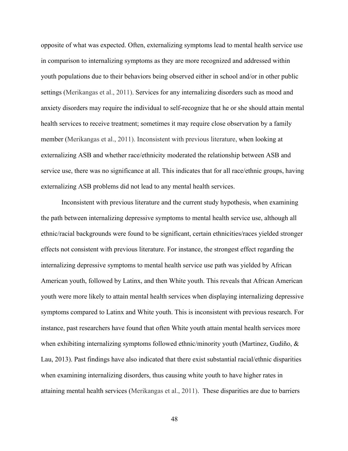opposite of what was expected. Often, externalizing symptoms lead to mental health service use in comparison to internalizing symptoms as they are more recognized and addressed within youth populations due to their behaviors being observed either in school and/or in other public settings (Merikangas et al., 2011). Services for any internalizing disorders such as mood and anxiety disorders may require the individual to self-recognize that he or she should attain mental health services to receive treatment; sometimes it may require close observation by a family member (Merikangas et al., 2011). Inconsistent with previous literature, when looking at externalizing ASB and whether race/ethnicity moderated the relationship between ASB and service use, there was no significance at all. This indicates that for all race/ethnic groups, having externalizing ASB problems did not lead to any mental health services.

Inconsistent with previous literature and the current study hypothesis, when examining the path between internalizing depressive symptoms to mental health service use, although all ethnic/racial backgrounds were found to be significant, certain ethnicities/races yielded stronger effects not consistent with previous literature. For instance, the strongest effect regarding the internalizing depressive symptoms to mental health service use path was yielded by African American youth, followed by Latinx, and then White youth. This reveals that African American youth were more likely to attain mental health services when displaying internalizing depressive symptoms compared to Latinx and White youth. This is inconsistent with previous research. For instance, past researchers have found that often White youth attain mental health services more when exhibiting internalizing symptoms followed ethnic/minority youth (Martinez, Gudiño, & Lau, 2013). Past findings have also indicated that there exist substantial racial/ethnic disparities when examining internalizing disorders, thus causing white youth to have higher rates in attaining mental health services (Merikangas et al., 2011). These disparities are due to barriers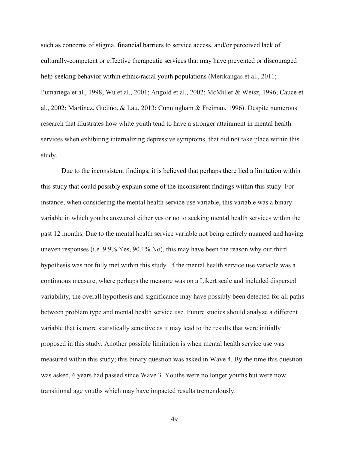such as concerns of stigma, financial barriers to service access, and/or perceived lack of culturally-competent or effective therapeutic services that may have prevented or discouraged help-seeking behavior within ethnic/racial youth populations (Merikangas et al., 2011; Pumariega et al., 1998; Wu et al., 2001; Angold et al., 2002; McMiller & Weisz, 1996; Cauce et al., 2002; Martinez, Gudiño, & Lau, 2013; Cunningham & Freiman, 1996). Despite numerous research that illustrates how white youth tend to have a stronger attainment in mental health services when exhibiting internalizing depressive symptoms, that did not take place within this study.

Due to the inconsistent findings, it is believed that perhaps there lied a limitation within this study that could possibly explain some of the inconsistent findings within this study. For instance, when considering the mental health service use variable, this variable was a binary variable in which youths answered either yes or no to seeking mental health services within the past 12 months. Due to the mental health service variable not being entirely nuanced and having uneven responses (i.e. 9.9% Yes, 90.1% No), this may have been the reason why our third hypothesis was not fully met within this study. If the mental health service use variable was a continuous measure, where perhaps the measure was on a Likert scale and included dispersed variability, the overall hypothesis and significance may have possibly been detected for all paths between problem type and mental health service use. Future studies should analyze a different variable that is more statistically sensitive as it may lead to the results that were initially proposed in this study. Another possible limitation is when mental health service use was measured within this study; this binary question was asked in Wave 4. By the time this question was asked, 6 years had passed since Wave 3. Youths were no longer youths but were now transitional age youths which may have impacted results tremendously.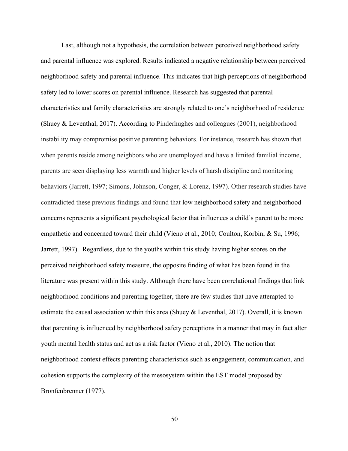Last, although not a hypothesis, the correlation between perceived neighborhood safety and parental influence was explored. Results indicated a negative relationship between perceived neighborhood safety and parental influence. This indicates that high perceptions of neighborhood safety led to lower scores on parental influence. Research has suggested that parental characteristics and family characteristics are strongly related to one's neighborhood of residence (Shuey & Leventhal, 2017). According to Pinderhughes and colleagues (2001), neighborhood instability may compromise positive parenting behaviors. For instance, research has shown that when parents reside among neighbors who are unemployed and have a limited familial income, parents are seen displaying less warmth and higher levels of harsh discipline and monitoring behaviors (Jarrett, 1997; Simons, Johnson, Conger, & Lorenz, 1997). Other research studies have contradicted these previous findings and found that low neighborhood safety and neighborhood concerns represents a significant psychological factor that influences a child's parent to be more empathetic and concerned toward their child (Vieno et al., 2010; Coulton, Korbin, & Su, 1996; Jarrett, 1997). Regardless, due to the youths within this study having higher scores on the perceived neighborhood safety measure, the opposite finding of what has been found in the literature was present within this study. Although there have been correlational findings that link neighborhood conditions and parenting together, there are few studies that have attempted to estimate the causal association within this area (Shuey & Leventhal, 2017). Overall, it is known that parenting is influenced by neighborhood safety perceptions in a manner that may in fact alter youth mental health status and act as a risk factor (Vieno et al., 2010). The notion that neighborhood context effects parenting characteristics such as engagement, communication, and cohesion supports the complexity of the mesosystem within the EST model proposed by Bronfenbrenner (1977).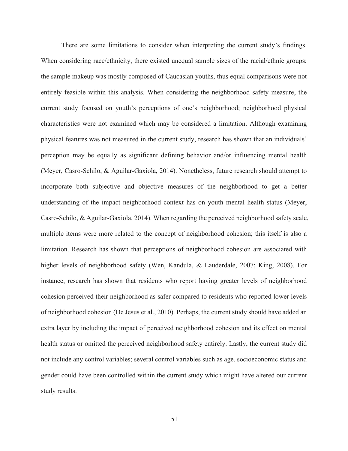There are some limitations to consider when interpreting the current study's findings. When considering race/ethnicity, there existed unequal sample sizes of the racial/ethnic groups; the sample makeup was mostly composed of Caucasian youths, thus equal comparisons were not entirely feasible within this analysis. When considering the neighborhood safety measure, the current study focused on youth's perceptions of one's neighborhood; neighborhood physical characteristics were not examined which may be considered a limitation. Although examining physical features was not measured in the current study, research has shown that an individuals' perception may be equally as significant defining behavior and/or influencing mental health (Meyer, Casro-Schilo, & Aguilar-Gaxiola, 2014). Nonetheless, future research should attempt to incorporate both subjective and objective measures of the neighborhood to get a better understanding of the impact neighborhood context has on youth mental health status (Meyer, Casro-Schilo, & Aguilar-Gaxiola, 2014). When regarding the perceived neighborhood safety scale, multiple items were more related to the concept of neighborhood cohesion; this itself is also a limitation. Research has shown that perceptions of neighborhood cohesion are associated with higher levels of neighborhood safety (Wen, Kandula, & Lauderdale, 2007; King, 2008). For instance, research has shown that residents who report having greater levels of neighborhood cohesion perceived their neighborhood as safer compared to residents who reported lower levels of neighborhood cohesion (De Jesus et al., 2010). Perhaps, the current study should have added an extra layer by including the impact of perceived neighborhood cohesion and its effect on mental health status or omitted the perceived neighborhood safety entirely. Lastly, the current study did not include any control variables; several control variables such as age, socioeconomic status and gender could have been controlled within the current study which might have altered our current study results.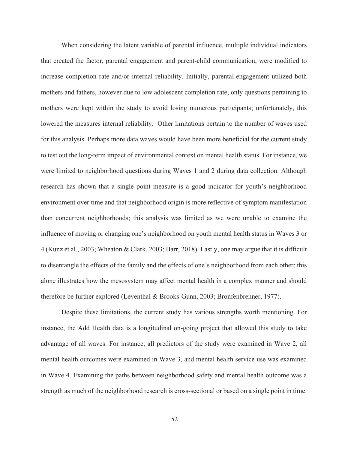When considering the latent variable of parental influence, multiple individual indicators that created the factor, parental engagement and parent-child communication, were modified to increase completion rate and/or internal reliability. Initially, parental-engagement utilized both mothers and fathers, however due to low adolescent completion rate, only questions pertaining to mothers were kept within the study to avoid losing numerous participants; unfortunately, this lowered the measures internal reliability. Other limitations pertain to the number of waves used for this analysis. Perhaps more data waves would have been more beneficial for the current study to test out the long-term impact of environmental context on mental health status. For instance, we were limited to neighborhood questions during Waves 1 and 2 during data collection. Although research has shown that a single point measure is a good indicator for youth's neighborhood environment over time and that neighborhood origin is more reflective of symptom manifestation than concurrent neighborhoods; this analysis was limited as we were unable to examine the influence of moving or changing one's neighborhood on youth mental health status in Waves 3 or 4 (Kunz et al., 2003; Wheaton & Clark, 2003; Barr, 2018). Lastly, one may argue that it is difficult to disentangle the effects of the family and the effects of one's neighborhood from each other; this alone illustrates how the mesosystem may affect mental health in a complex manner and should therefore be further explored (Leventhal & Brooks-Gunn, 2003; Bronfenbrenner, 1977).

Despite these limitations, the current study has various strengths worth mentioning. For instance, the Add Health data is a longitudinal on-going project that allowed this study to take advantage of all waves. For instance, all predictors of the study were examined in Wave 2, all mental health outcomes were examined in Wave 3, and mental health service use was examined in Wave 4. Examining the paths between neighborhood safety and mental health outcome was a strength as much of the neighborhood research is cross-sectional or based on a single point in time.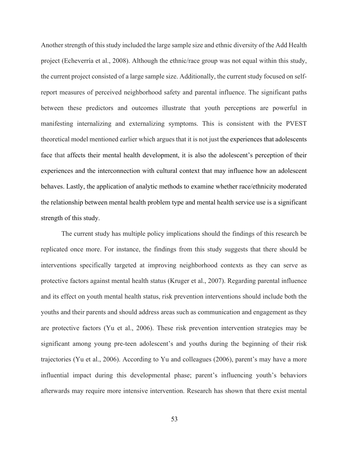Another strength of this study included the large sample size and ethnic diversity of the Add Health project (Echeverría et al., 2008). Although the ethnic/race group was not equal within this study, the current project consisted of a large sample size. Additionally, the current study focused on selfreport measures of perceived neighborhood safety and parental influence. The significant paths between these predictors and outcomes illustrate that youth perceptions are powerful in manifesting internalizing and externalizing symptoms. This is consistent with the PVEST theoretical model mentioned earlier which argues that it is not just the experiences that adolescents face that affects their mental health development, it is also the adolescent's perception of their experiences and the interconnection with cultural context that may influence how an adolescent behaves. Lastly, the application of analytic methods to examine whether race/ethnicity moderated the relationship between mental health problem type and mental health service use is a significant strength of this study.

The current study has multiple policy implications should the findings of this research be replicated once more. For instance, the findings from this study suggests that there should be interventions specifically targeted at improving neighborhood contexts as they can serve as protective factors against mental health status (Kruger et al., 2007). Regarding parental influence and its effect on youth mental health status, risk prevention interventions should include both the youths and their parents and should address areas such as communication and engagement as they are protective factors (Yu et al., 2006). These risk prevention intervention strategies may be significant among young pre-teen adolescent's and youths during the beginning of their risk trajectories (Yu et al., 2006). According to Yu and colleagues (2006), parent's may have a more influential impact during this developmental phase; parent's influencing youth's behaviors afterwards may require more intensive intervention. Research has shown that there exist mental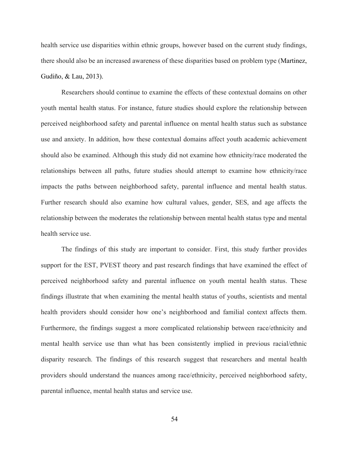health service use disparities within ethnic groups, however based on the current study findings, there should also be an increased awareness of these disparities based on problem type (Martinez, Gudiño, & Lau, 2013).

Researchers should continue to examine the effects of these contextual domains on other youth mental health status. For instance, future studies should explore the relationship between perceived neighborhood safety and parental influence on mental health status such as substance use and anxiety. In addition, how these contextual domains affect youth academic achievement should also be examined. Although this study did not examine how ethnicity/race moderated the relationships between all paths, future studies should attempt to examine how ethnicity/race impacts the paths between neighborhood safety, parental influence and mental health status. Further research should also examine how cultural values, gender, SES, and age affects the relationship between the moderates the relationship between mental health status type and mental health service use.

The findings of this study are important to consider. First, this study further provides support for the EST, PVEST theory and past research findings that have examined the effect of perceived neighborhood safety and parental influence on youth mental health status. These findings illustrate that when examining the mental health status of youths, scientists and mental health providers should consider how one's neighborhood and familial context affects them. Furthermore, the findings suggest a more complicated relationship between race/ethnicity and mental health service use than what has been consistently implied in previous racial/ethnic disparity research. The findings of this research suggest that researchers and mental health providers should understand the nuances among race/ethnicity, perceived neighborhood safety, parental influence, mental health status and service use.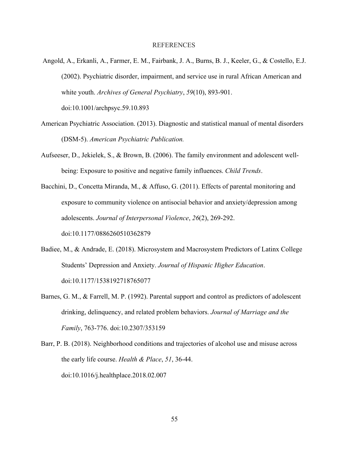### REFERENCES

- Angold, A., Erkanli, A., Farmer, E. M., Fairbank, J. A., Burns, B. J., Keeler, G., & Costello, E.J. (2002). Psychiatric disorder, impairment, and service use in rural African American and white youth. *Archives of General Psychiatry*, *59*(10), 893-901. doi:10.1001/archpsyc.59.10.893
- American Psychiatric Association. (2013). Diagnostic and statistical manual of mental disorders (DSM-5). *American Psychiatric Publication.*
- Aufseeser, D., Jekielek, S., & Brown, B. (2006). The family environment and adolescent wellbeing: Exposure to positive and negative family influences. *Child Trends*.
- Bacchini, D., Concetta Miranda, M., & Affuso, G. (2011). Effects of parental monitoring and exposure to community violence on antisocial behavior and anxiety/depression among adolescents. *Journal of Interpersonal Violence*, *26*(2), 269-292. doi:10.1177/0886260510362879
- Badiee, M., & Andrade, E. (2018). Microsystem and Macrosystem Predictors of Latinx College Students' Depression and Anxiety. *Journal of Hispanic Higher Education*. doi:10.1177/1538192718765077
- Barnes, G. M., & Farrell, M. P. (1992). Parental support and control as predictors of adolescent drinking, delinquency, and related problem behaviors. *Journal of Marriage and the Family*, 763-776. doi:10.2307/353159
- Barr, P. B. (2018). Neighborhood conditions and trajectories of alcohol use and misuse across the early life course. *Health & Place*, *51*, 36-44. doi:10.1016/j.healthplace.2018.02.007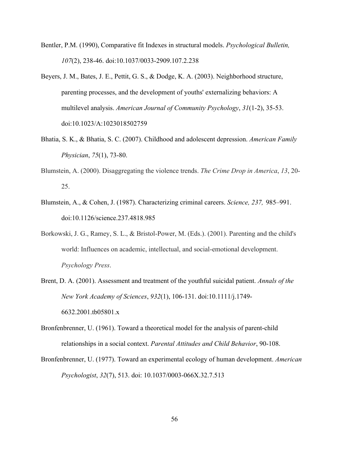- Bentler, P.M. (1990), Comparative fit Indexes in structural models. *Psychological Bulletin, 107*(2), 238-46. doi:10.1037/0033-2909.107.2.238
- Beyers, J. M., Bates, J. E., Pettit, G. S., & Dodge, K. A. (2003). Neighborhood structure, parenting processes, and the development of youths' externalizing behaviors: A multilevel analysis. *American Journal of Community Psychology*, *31*(1-2), 35-53. doi:10.1023/A:1023018502759
- Bhatia, S. K., & Bhatia, S. C. (2007). Childhood and adolescent depression. *American Family Physician*, *75*(1), 73-80.
- Blumstein, A. (2000). Disaggregating the violence trends. *The Crime Drop in America*, *13*, 20- 25.
- Blumstein, A., & Cohen, J. (1987). Characterizing criminal careers. *Science, 237,* 985–991. doi:10.1126/science.237.4818.985
- Borkowski, J. G., Ramey, S. L., & Bristol-Power, M. (Eds.). (2001). Parenting and the child's world: Influences on academic, intellectual, and social-emotional development. *Psychology Press*.
- Brent, D. A. (2001). Assessment and treatment of the youthful suicidal patient. *Annals of the New York Academy of Sciences*, *932*(1), 106-131. doi:10.1111/j.1749- 6632.2001.tb05801.x
- Bronfenbrenner, U. (1961). Toward a theoretical model for the analysis of parent-child relationships in a social context. *Parental Attitudes and Child Behavior*, 90-108.
- Bronfenbrenner, U. (1977). Toward an experimental ecology of human development. *American Psychologist*, *32*(7), 513. doi: 10.1037/0003-066X.32.7.513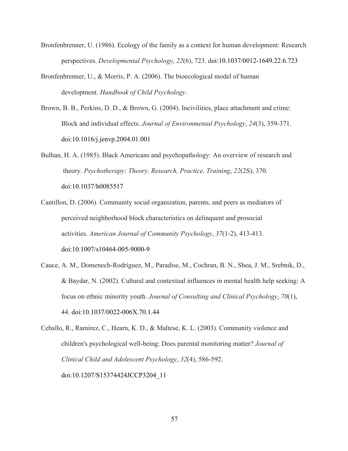- Bronfenbrenner, U. (1986). Ecology of the family as a context for human development: Research perspectives. *Developmental Psychology*, *22*(6), 723. doi:10.1037/0012-1649.22.6.723
- Bronfenbrenner, U., & Morris, P. A. (2006). The bioecological model of human development. *Handbook of Child Psychology*.
- Brown, B. B., Perkins, D. D., & Brown, G. (2004). Incivilities, place attachment and crime: Block and individual effects. *Journal of Environmental Psychology*, *24*(3), 359-371. doi:10.1016/j.jenvp.2004.01.001
- Bulhan, H. A. (1985). Black Americans and psychopathology: An overview of research and theory. *Psychotherapy: Theory, Research, Practice, Training*, *22*(2S), 370. doi:10.1037/h0085517
- Cantillon, D. (2006). Community social organization, parents, and peers as mediators of perceived neighborhood block characteristics on delinquent and prosocial activities. *American Journal of Community Psychology*, *37*(1-2), 413-413. doi:10.1007/s10464-005-9000-9
- Cauce, A. M., Domenech-Rodríguez, M., Paradise, M., Cochran, B. N., Shea, J. M., Srebnik, D., & Baydar, N. (2002). Cultural and contextual influences in mental health help seeking: A focus on ethnic minority youth. *Journal of Consulting and Clinical Psychology*, *70*(1), 44. doi:10.1037/0022-006X.70.1.44
- Ceballo, R., Ramirez, C., Hearn, K. D., & Maltese, K. L. (2003). Community violence and children's psychological well-being: Does parental monitoring matter? *Journal of Clinical Child and Adolescent Psychology*, *32*(4), 586-592. doi:10.1207/S15374424JCCP3204\_11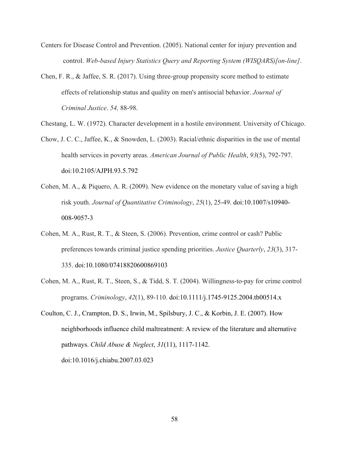- Centers for Disease Control and Prevention. (2005). National center for injury prevention and control. *Web-based Injury Statistics Query and Reporting System (WISQARS)[on-line]*.
- Chen, F. R., & Jaffee, S. R. (2017). Using three-group propensity score method to estimate effects of relationship status and quality on men's antisocial behavior. *Journal of Criminal Justice*. *54,* 88-98.
- Chestang, L. W. (1972). Character development in a hostile environment. University of Chicago.
- Chow, J. C. C., Jaffee, K., & Snowden, L. (2003). Racial/ethnic disparities in the use of mental health services in poverty areas. *American Journal of Public Health*, *93*(5), 792-797. doi:10.2105/AJPH.93.5.792
- Cohen, M. A., & Piquero, A. R. (2009). New evidence on the monetary value of saving a high risk youth. *Journal of Quantitative Criminology*, *25*(1), 25-49. doi:10.1007/s10940- 008-9057-3
- Cohen, M. A., Rust, R. T., & Steen, S. (2006). Prevention, crime control or cash? Public preferences towards criminal justice spending priorities. *Justice Quarterly*, *23*(3), 317- 335. doi:10.1080/07418820600869103
- Cohen, M. A., Rust, R. T., Steen, S., & Tidd, S. T. (2004). Willingness-to-pay for crime control programs. *Criminology*, *42*(1), 89-110. doi:10.1111/j.1745-9125.2004.tb00514.x
- Coulton, C. J., Crampton, D. S., Irwin, M., Spilsbury, J. C., & Korbin, J. E. (2007). How neighborhoods influence child maltreatment: A review of the literature and alternative pathways. *Child Abuse & Neglect*, *31*(11), 1117-1142. doi:10.1016/j.chiabu.2007.03.023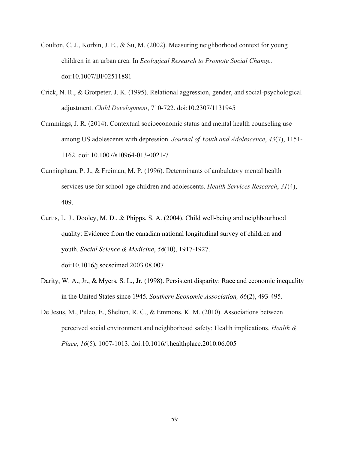- Coulton, C. J., Korbin, J. E., & Su, M. (2002). Measuring neighborhood context for young children in an urban area. In *Ecological Research to Promote Social Change*. doi:10.1007/BF02511881
- Crick, N. R., & Grotpeter, J. K. (1995). Relational aggression, gender, and social-psychological adjustment. *Child Development*, 710-722. doi:10.2307/1131945
- Cummings, J. R. (2014). Contextual socioeconomic status and mental health counseling use among US adolescents with depression. *Journal of Youth and Adolescence*, *43*(7), 1151- 1162. doi: 10.1007/s10964-013-0021-7
- Cunningham, P. J., & Freiman, M. P. (1996). Determinants of ambulatory mental health services use for school-age children and adolescents. *Health Services Research*, *31*(4), 409.
- Curtis, L. J., Dooley, M. D., & Phipps, S. A. (2004). Child well-being and neighbourhood quality: Evidence from the canadian national longitudinal survey of children and youth. *Social Science & Medicine*, *58*(10), 1917-1927. doi:10.1016/j.socscimed.2003.08.007
- Darity, W. A., Jr., & Myers, S. L., Jr. (1998). Persistent disparity: Race and economic inequality in the United States since 1945*. Southern Economic Association, 66*(2), 493-495.
- De Jesus, M., Puleo, E., Shelton, R. C., & Emmons, K. M. (2010). Associations between perceived social environment and neighborhood safety: Health implications. *Health & Place*, *16*(5), 1007-1013. doi:10.1016/j.healthplace.2010.06.005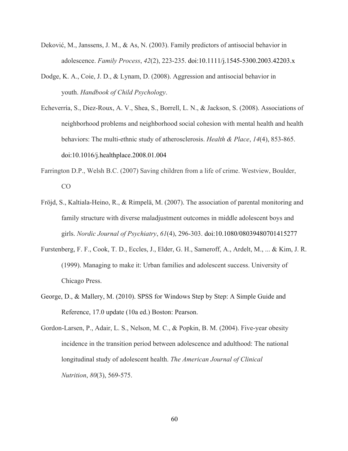- Deković, M., Janssens, J. M., & As, N. (2003). Family predictors of antisocial behavior in adolescence. *Family Process*, *42*(2), 223-235. doi:10.1111/j.1545-5300.2003.42203.x
- Dodge, K. A., Coie, J. D., & Lynam, D. (2008). Aggression and antisocial behavior in youth. *Handbook of Child Psychology*.
- Echeverría, S., Diez-Roux, A. V., Shea, S., Borrell, L. N., & Jackson, S. (2008). Associations of neighborhood problems and neighborhood social cohesion with mental health and health behaviors: The multi-ethnic study of atherosclerosis. *Health & Place*, *14*(4), 853-865. doi:10.1016/j.healthplace.2008.01.004
- Farrington D.P., Welsh B.C. (2007) Saving children from a life of crime. Westview, Boulder, CO
- Fröjd, S., Kaltiala-Heino, R., & Rimpelä, M. (2007). The association of parental monitoring and family structure with diverse maladjustment outcomes in middle adolescent boys and girls. *Nordic Journal of Psychiatry*, *61*(4), 296-303. doi:10.1080/08039480701415277
- Furstenberg, F. F., Cook, T. D., Eccles, J., Elder, G. H., Sameroff, A., Ardelt, M., ... & Kim, J. R. (1999). Managing to make it: Urban families and adolescent success. University of Chicago Press.
- George, D., & Mallery, M. (2010). SPSS for Windows Step by Step: A Simple Guide and Reference, 17.0 update (10a ed.) Boston: Pearson.
- Gordon-Larsen, P., Adair, L. S., Nelson, M. C., & Popkin, B. M. (2004). Five-year obesity incidence in the transition period between adolescence and adulthood: The national longitudinal study of adolescent health. *The American Journal of Clinical Nutrition*, *80*(3), 569-575.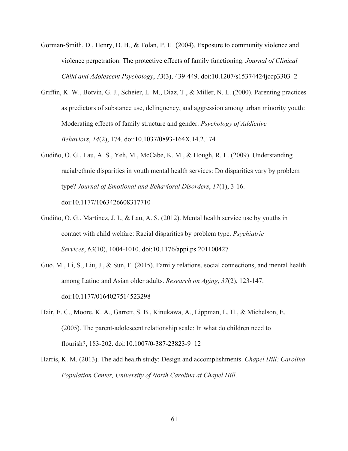- Gorman-Smith, D., Henry, D. B., & Tolan, P. H. (2004). Exposure to community violence and violence perpetration: The protective effects of family functioning. *Journal of Clinical Child and Adolescent Psychology*, *33*(3), 439-449. doi:10.1207/s15374424jccp3303\_2
- Griffin, K. W., Botvin, G. J., Scheier, L. M., Diaz, T., & Miller, N. L. (2000). Parenting practices as predictors of substance use, delinquency, and aggression among urban minority youth: Moderating effects of family structure and gender. *Psychology of Addictive Behaviors*, *14*(2), 174. doi:10.1037/0893-164X.14.2.174
- Gudiño, O. G., Lau, A. S., Yeh, M., McCabe, K. M., & Hough, R. L. (2009). Understanding racial/ethnic disparities in youth mental health services: Do disparities vary by problem type? *Journal of Emotional and Behavioral Disorders*, *17*(1), 3-16. doi:10.1177/1063426608317710
- Gudiño, O. G., Martinez, J. I., & Lau, A. S. (2012). Mental health service use by youths in contact with child welfare: Racial disparities by problem type. *Psychiatric Services*, *63*(10), 1004-1010. doi:10.1176/appi.ps.201100427
- Guo, M., Li, S., Liu, J., & Sun, F. (2015). Family relations, social connections, and mental health among Latino and Asian older adults. *Research on Aging*, *37*(2), 123-147. doi:10.1177/0164027514523298
- Hair, E. C., Moore, K. A., Garrett, S. B., Kinukawa, A., Lippman, L. H., & Michelson, E. (2005). The parent-adolescent relationship scale: In what do children need to flourish?, 183-202. doi:10.1007/0-387-23823-9\_12
- Harris, K. M. (2013). The add health study: Design and accomplishments. *Chapel Hill: Carolina Population Center, University of North Carolina at Chapel Hill*.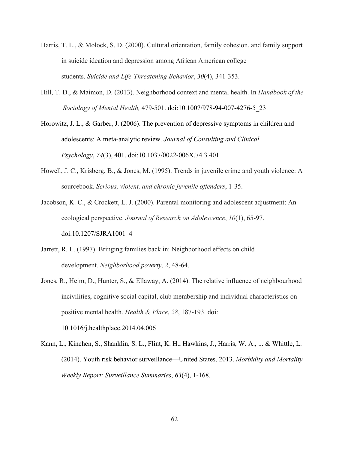- Harris, T. L., & Molock, S. D. (2000). Cultural orientation, family cohesion, and family support in suicide ideation and depression among African American college students. *Suicide and Life-Threatening Behavior*, *30*(4), 341-353.
- Hill, T. D., & Maimon, D. (2013). Neighborhood context and mental health. In *Handbook of the Sociology of Mental Health,* 479-501. doi:10.1007/978-94-007-4276-5\_23

Horowitz, J. L., & Garber, J. (2006). The prevention of depressive symptoms in children and adolescents: A meta-analytic review. *Journal of Consulting and Clinical Psychology*, *74*(3), 401. doi:10.1037/0022-006X.74.3.401

Howell, J. C., Krisberg, B., & Jones, M. (1995). Trends in juvenile crime and youth violence: A sourcebook. *Serious, violent, and chronic juvenile offenders*, 1-35.

Jacobson, K. C., & Crockett, L. J. (2000). Parental monitoring and adolescent adjustment: An ecological perspective. *Journal of Research on Adolescence*, *10*(1), 65-97. doi:10.1207/SJRA1001\_4

- Jarrett, R. L. (1997). Bringing families back in: Neighborhood effects on child development. *Neighborhood poverty*, *2*, 48-64.
- Jones, R., Heim, D., Hunter, S., & Ellaway, A. (2014). The relative influence of neighbourhood incivilities, cognitive social capital, club membership and individual characteristics on positive mental health. *Health & Place*, *28*, 187-193. doi: 10.1016/j.healthplace.2014.04.006

Kann, L., Kinchen, S., Shanklin, S. L., Flint, K. H., Hawkins, J., Harris, W. A., ... & Whittle, L. (2014). Youth risk behavior surveillance—United States, 2013. *Morbidity and Mortality Weekly Report: Surveillance Summaries*, *63*(4), 1-168.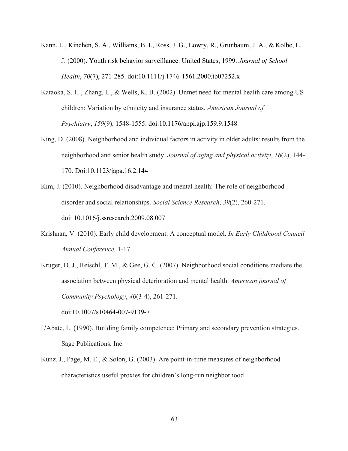- Kann, L., Kinchen, S. A., Williams, B. I., Ross, J. G., Lowry, R., Grunbaum, J. A., & Kolbe, L. J. (2000). Youth risk behavior surveillance: United States, 1999. *Journal of School Health*, *70*(7), 271-285. doi:10.1111/j.1746-1561.2000.tb07252.x
- Kataoka, S. H., Zhang, L., & Wells, K. B. (2002). Unmet need for mental health care among US children: Variation by ethnicity and insurance status. *American Journal of Psychiatry*, *159*(9), 1548-1555. doi:10.1176/appi.ajp.159.9.1548
- King, D. (2008). Neighborhood and individual factors in activity in older adults: results from the neighborhood and senior health study. *Journal of aging and physical activity*, *16*(2), 144- 170. Doi:10.1123/japa.16.2.144
- Kim, J. (2010). Neighborhood disadvantage and mental health: The role of neighborhood disorder and social relationships. *Social Science Research*, *39*(2), 260-271. doi: 10.1016/j.ssresearch.2009.08.007
- Krishnan, V. (2010). Early child development: A conceptual model. *In Early Childhood Council Annual Conference,* 1-17.
- Kruger, D. J., Reischl, T. M., & Gee, G. C. (2007). Neighborhood social conditions mediate the association between physical deterioration and mental health. *American journal of Community Psychology*, *40*(3-4), 261-271. doi:10.1007/s10464-007-9139-7
- L'Abate, L. (1990). Building family competence: Primary and secondary prevention strategies. Sage Publications, Inc.
- Kunz, J., Page, M. E., & Solon, G. (2003). Are point-in-time measures of neighborhood characteristics useful proxies for children's long-run neighborhood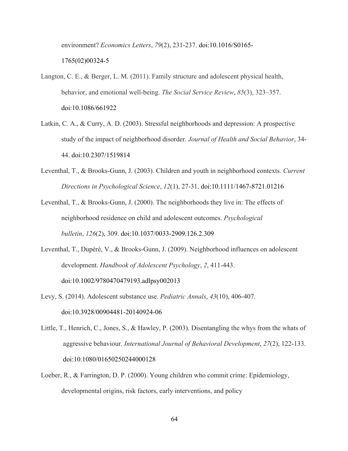environment? *Economics Letters*, *79*(2), 231-237. doi:10.1016/S0165-

1765(02)00324-5

- Langton, C. E., & Berger, L. M. (2011). Family structure and adolescent physical health, behavior, and emotional well-being. *The Social Service Review*, *85*(3), 323–357. doi:10.1086/661922
- Latkin, C. A., & Curry, A. D. (2003). Stressful neighborhoods and depression: A prospective study of the impact of neighborhood disorder. *Journal of Health and Social Behavior*, 34- 44. doi:10.2307/1519814
- Leventhal, T., & Brooks-Gunn, J. (2003). Children and youth in neighborhood contexts. *Current Directions in Psychological Science*, *12*(1), 27-31. doi:10.1111/1467-8721.01216
- Leventhal, T., & Brooks-Gunn, J. (2000). The neighborhoods they live in: The effects of neighborhood residence on child and adolescent outcomes. *Psychological bulletin*, *126*(2), 309. doi:10.1037/0033-2909.126.2.309
- Leventhal, T., Dupéré, V., & Brooks-Gunn, J. (2009). Neighborhood influences on adolescent development. *Handbook of Adolescent Psychology*, *2*, 411-443. doi:10.1002/9780470479193.adlpsy002013
- Levy, S. (2014). Adolescent substance use. *Pediatric Annals*, *43*(10), 406-407. doi:10.3928/00904481-20140924-06
- Little, T., Henrich, C., Jones, S., & Hawley, P. (2003). Disentangling the whys from the whats of aggressive behaviour. *International Journal of Behavioral Development*, *27*(2), 122-133. doi:10.1080/01650250244000128
- Loeber, R., & Farrington, D. P. (2000). Young children who commit crime: Epidemiology, developmental origins, risk factors, early interventions, and policy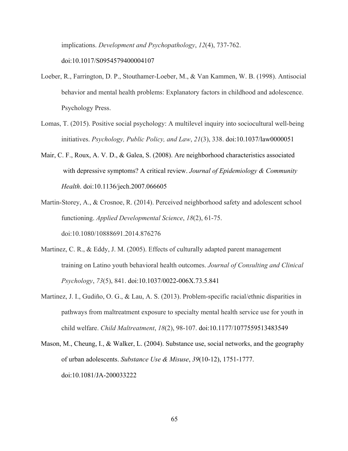implications. *Development and Psychopathology*, *12*(4), 737-762.

doi:10.1017/S0954579400004107

- Loeber, R., Farrington, D. P., Stouthamer-Loeber, M., & Van Kammen, W. B. (1998). Antisocial behavior and mental health problems: Explanatory factors in childhood and adolescence. Psychology Press.
- Lomas, T. (2015). Positive social psychology: A multilevel inquiry into sociocultural well-being initiatives. *Psychology, Public Policy, and Law*, *21*(3), 338. doi:10.1037/law0000051
- Mair, C. F., Roux, A. V. D., & Galea, S. (2008). Are neighborhood characteristics associated with depressive symptoms? A critical review. *Journal of Epidemiology & Community Health*. doi:10.1136/jech.2007.066605
- Martin-Storey, A., & Crosnoe, R. (2014). Perceived neighborhood safety and adolescent school functioning. *Applied Developmental Science*, *18*(2), 61-75. doi:10.1080/10888691.2014.876276
- Martinez, C. R., & Eddy, J. M. (2005). Effects of culturally adapted parent management training on Latino youth behavioral health outcomes. *Journal of Consulting and Clinical Psychology*, *73*(5), 841. doi:10.1037/0022-006X.73.5.841
- Martinez, J. I., Gudiño, O. G., & Lau, A. S. (2013). Problem-specific racial/ethnic disparities in pathways from maltreatment exposure to specialty mental health service use for youth in child welfare. *Child Maltreatment*, *18*(2), 98-107. doi:10.1177/1077559513483549
- Mason, M., Cheung, I., & Walker, L. (2004). Substance use, social networks, and the geography of urban adolescents. *Substance Use & Misuse*, *39*(10-12), 1751-1777. doi:10.1081/JA-200033222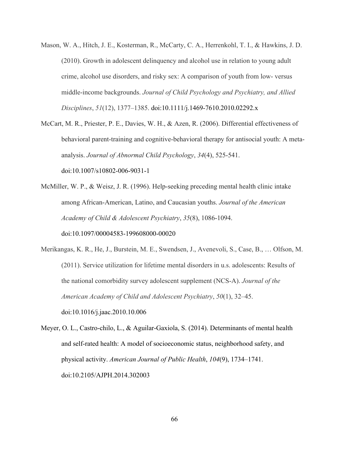- Mason, W. A., Hitch, J. E., Kosterman, R., McCarty, C. A., Herrenkohl, T. I., & Hawkins, J. D. (2010). Growth in adolescent delinquency and alcohol use in relation to young adult crime, alcohol use disorders, and risky sex: A comparison of youth from low- versus middle-income backgrounds. *Journal of Child Psychology and Psychiatry, and Allied Disciplines*, *51*(12), 1377–1385. doi:10.1111/j.1469-7610.2010.02292.x
- McCart, M. R., Priester, P. E., Davies, W. H., & Azen, R. (2006). Differential effectiveness of behavioral parent-training and cognitive-behavioral therapy for antisocial youth: A metaanalysis. *Journal of Abnormal Child Psychology*, *34*(4), 525-541. doi:10.1007/s10802-006-9031-1
- McMiller, W. P., & Weisz, J. R. (1996). Help-seeking preceding mental health clinic intake among African-American, Latino, and Caucasian youths. *Journal of the American Academy of Child & Adolescent Psychiatry*, *35*(8), 1086-1094. doi:10.1097/00004583-199608000-00020
- Merikangas, K. R., He, J., Burstein, M. E., Swendsen, J., Avenevoli, S., Case, B., … Olfson, M. (2011). Service utilization for lifetime mental disorders in u.s. adolescents: Results of the national comorbidity survey adolescent supplement (NCS-A). *Journal of the American Academy of Child and Adolescent Psychiatry*, *50*(1), 32–45. doi:10.1016/j.jaac.2010.10.006
- Meyer, O. L., Castro-chilo, L., & Aguilar-Gaxiola, S. (2014). Determinants of mental health and self-rated health: A model of socioeconomic status, neighborhood safety, and physical activity. *American Journal of Public Health*, *104*(9), 1734–1741. doi:10.2105/AJPH.2014.302003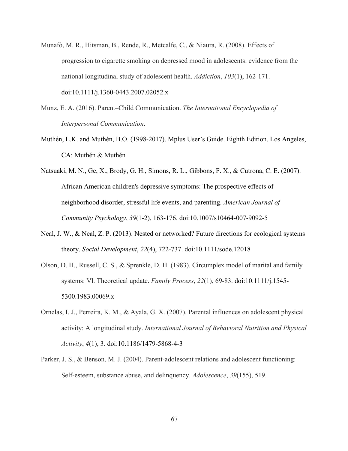- Munafò, M. R., Hitsman, B., Rende, R., Metcalfe, C., & Niaura, R. (2008). Effects of progression to cigarette smoking on depressed mood in adolescents: evidence from the national longitudinal study of adolescent health. *Addiction*, *103*(1), 162-171. doi:10.1111/j.1360-0443.2007.02052.x
- Munz, E. A. (2016). Parent–Child Communication. *The International Encyclopedia of Interpersonal Communication*.
- Muthén, L.K. and Muthén, B.O. (1998-2017). Mplus User's Guide. Eighth Edition. Los Angeles, CA: Muthén & Muthén
- Natsuaki, M. N., Ge, X., Brody, G. H., Simons, R. L., Gibbons, F. X., & Cutrona, C. E. (2007). African American children's depressive symptoms: The prospective effects of neighborhood disorder, stressful life events, and parenting. *American Journal of Community Psychology*, *39*(1-2), 163-176. doi:10.1007/s10464-007-9092-5
- Neal, J. W., & Neal, Z. P. (2013). Nested or networked? Future directions for ecological systems theory. *Social Development*, *22*(4), 722-737. doi:10.1111/sode.12018
- Olson, D. H., Russell, C. S., & Sprenkle, D. H. (1983). Circumplex model of marital and family systems: Vl. Theoretical update. *Family Process*, *22*(1), 69-83. doi:10.1111/j.1545- 5300.1983.00069.x
- Ornelas, I. J., Perreira, K. M., & Ayala, G. X. (2007). Parental influences on adolescent physical activity: A longitudinal study. *International Journal of Behavioral Nutrition and Physical Activity*, *4*(1), 3. doi:10.1186/1479-5868-4-3
- Parker, J. S., & Benson, M. J. (2004). Parent-adolescent relations and adolescent functioning: Self-esteem, substance abuse, and delinquency. *Adolescence*, *39*(155), 519.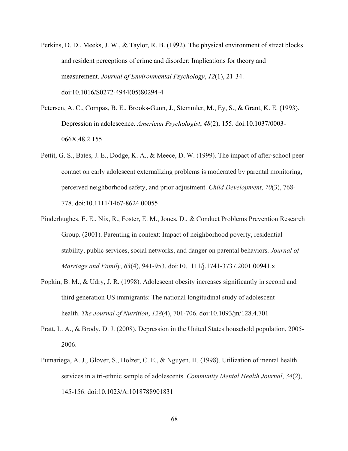- Perkins, D. D., Meeks, J. W., & Taylor, R. B. (1992). The physical environment of street blocks and resident perceptions of crime and disorder: Implications for theory and measurement. *Journal of Environmental Psychology*, *12*(1), 21-34. doi:10.1016/S0272-4944(05)80294-4
- Petersen, A. C., Compas, B. E., Brooks-Gunn, J., Stemmler, M., Ey, S., & Grant, K. E. (1993). Depression in adolescence. *American Psychologist*, *48*(2), 155. doi:10.1037/0003- 066X.48.2.155
- Pettit, G. S., Bates, J. E., Dodge, K. A., & Meece, D. W. (1999). The impact of after-school peer contact on early adolescent externalizing problems is moderated by parental monitoring, perceived neighborhood safety, and prior adjustment. *Child Development*, *70*(3), 768- 778. doi:10.1111/1467-8624.00055
- Pinderhughes, E. E., Nix, R., Foster, E. M., Jones, D., & Conduct Problems Prevention Research Group. (2001). Parenting in context: Impact of neighborhood poverty, residential stability, public services, social networks, and danger on parental behaviors. *Journal of Marriage and Family*, *63*(4), 941-953. doi:10.1111/j.1741-3737.2001.00941.x
- Popkin, B. M., & Udry, J. R. (1998). Adolescent obesity increases significantly in second and third generation US immigrants: The national longitudinal study of adolescent health. *The Journal of Nutrition*, *128*(4), 701-706. doi:10.1093/jn/128.4.701
- Pratt, L. A., & Brody, D. J. (2008). Depression in the United States household population, 2005- 2006.
- Pumariega, A. J., Glover, S., Holzer, C. E., & Nguyen, H. (1998). Utilization of mental health services in a tri-ethnic sample of adolescents. *Community Mental Health Journal*, *34*(2), 145-156. doi:10.1023/A:1018788901831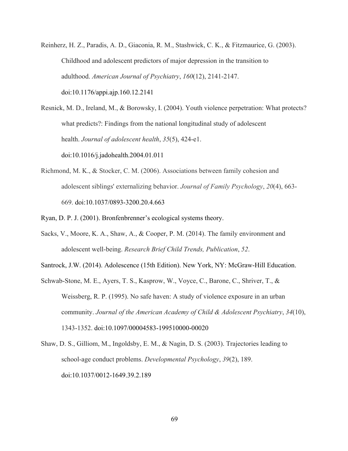Reinherz, H. Z., Paradis, A. D., Giaconia, R. M., Stashwick, C. K., & Fitzmaurice, G. (2003). Childhood and adolescent predictors of major depression in the transition to adulthood. *American Journal of Psychiatry*, *160*(12), 2141-2147. doi:10.1176/appi.ajp.160.12.2141

Resnick, M. D., Ireland, M., & Borowsky, I. (2004). Youth violence perpetration: What protects? what predicts?: Findings from the national longitudinal study of adolescent health. *Journal of adolescent health*, *35*(5), 424-e1. doi:10.1016/j.jadohealth.2004.01.011

Richmond, M. K., & Stocker, C. M. (2006). Associations between family cohesion and adolescent siblings' externalizing behavior. *Journal of Family Psychology*, *20*(4), 663- 669. doi:10.1037/0893-3200.20.4.663

Ryan, D. P. J. (2001). Bronfenbrenner's ecological systems theory.

Sacks, V., Moore, K. A., Shaw, A., & Cooper, P. M. (2014). The family environment and adolescent well-being. *Research Brief Child Trends, Publication*, *52*.

Santrock, J.W. (2014). Adolescence (15th Edition). New York, NY: McGraw-Hill Education.

- Schwab-Stone, M. E., Ayers, T. S., Kasprow, W., Voyce, C., Barone, C., Shriver, T., & Weissberg, R. P. (1995). No safe haven: A study of violence exposure in an urban community. *Journal of the American Academy of Child & Adolescent Psychiatry*, *34*(10), 1343-1352. doi:10.1097/00004583-199510000-00020
- Shaw, D. S., Gilliom, M., Ingoldsby, E. M., & Nagin, D. S. (2003). Trajectories leading to school-age conduct problems. *Developmental Psychology*, *39*(2), 189. doi:10.1037/0012-1649.39.2.189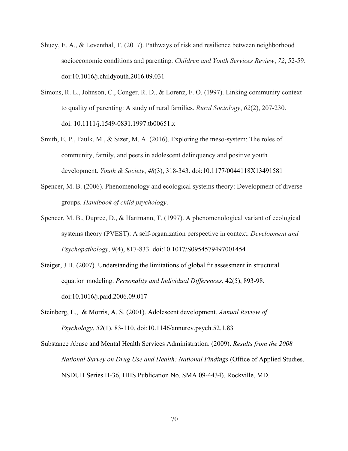- Shuey, E. A., & Leventhal, T. (2017). Pathways of risk and resilience between neighborhood socioeconomic conditions and parenting. *Children and Youth Services Review*, *72*, 52-59. doi:10.1016/j.childyouth.2016.09.031
- Simons, R. L., Johnson, C., Conger, R. D., & Lorenz, F. O. (1997). Linking community context to quality of parenting: A study of rural families. *Rural Sociology*, *62*(2), 207-230. doi: 10.1111/j.1549-0831.1997.tb00651.x
- Smith, E. P., Faulk, M., & Sizer, M. A. (2016). Exploring the meso-system: The roles of community, family, and peers in adolescent delinquency and positive youth development. *Youth & Society*, *48*(3), 318-343. doi:10.1177/0044118X13491581
- Spencer, M. B. (2006). Phenomenology and ecological systems theory: Development of diverse groups. *Handbook of child psychology*.
- Spencer, M. B., Dupree, D., & Hartmann, T. (1997). A phenomenological variant of ecological systems theory (PVEST): A self-organization perspective in context. *Development and Psychopathology*, *9*(4), 817-833. doi:10.1017/S0954579497001454
- Steiger, J.H. (2007). Understanding the limitations of global fit assessment in structural equation modeling. *Personality and Individual Differences*, 42(5), 893-98. doi:10.1016/j.paid.2006.09.017
- Steinberg, L., & Morris, A. S. (2001). Adolescent development. *Annual Review of Psychology*, *52*(1), 83-110. doi:10.1146/annurev.psych.52.1.83
- Substance Abuse and Mental Health Services Administration. (2009). *Results from the 2008 National Survey on Drug Use and Health: National Findings* (Office of Applied Studies, NSDUH Series H-36, HHS Publication No. SMA 09-4434). Rockville, MD.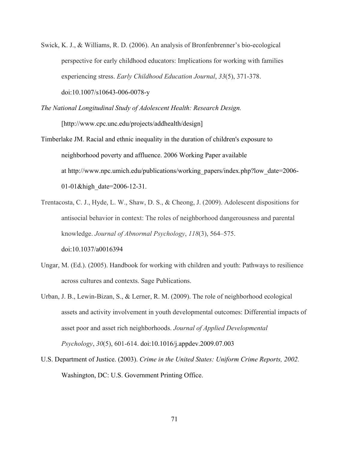- Swick, K. J., & Williams, R. D. (2006). An analysis of Bronfenbrenner's bio-ecological perspective for early childhood educators: Implications for working with families experiencing stress. *Early Childhood Education Journal*, *33*(5), 371-378. doi:10.1007/s10643-006-0078-y
- *The National Longitudinal Study of Adolescent Health: Research Design.*

[http://www.cpc.unc.edu/projects/addhealth/design]

- Timberlake JM. Racial and ethnic inequality in the duration of children's exposure to neighborhood poverty and affluence. 2006 Working Paper available at http://www.npc.umich.edu/publications/working\_papers/index.php?low\_date=2006- 01-01&high\_date=2006-12-31.
- Trentacosta, C. J., Hyde, L. W., Shaw, D. S., & Cheong, J. (2009). Adolescent dispositions for antisocial behavior in context: The roles of neighborhood dangerousness and parental knowledge. *Journal of Abnormal Psychology*, *118*(3), 564–575. doi:10.1037/a0016394
- Ungar, M. (Ed.). (2005). Handbook for working with children and youth: Pathways to resilience across cultures and contexts. Sage Publications.
- Urban, J. B., Lewin-Bizan, S., & Lerner, R. M. (2009). The role of neighborhood ecological assets and activity involvement in youth developmental outcomes: Differential impacts of asset poor and asset rich neighborhoods. *Journal of Applied Developmental Psychology*, *30*(5), 601-614. doi:10.1016/j.appdev.2009.07.003
- U.S. Department of Justice. (2003). *Crime in the United States: Uniform Crime Reports, 2002.*  Washington, DC: U.S. Government Printing Office.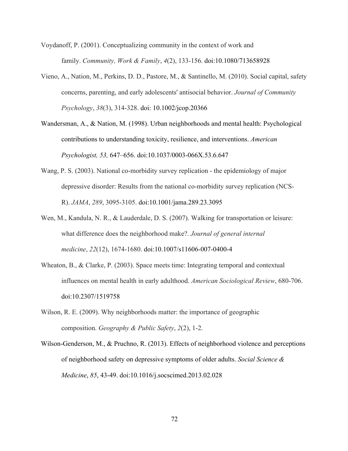Voydanoff, P. (2001). Conceptualizing community in the context of work and family. *Community, Work & Family*, *4*(2), 133-156. doi:10.1080/713658928

- Vieno, A., Nation, M., Perkins, D. D., Pastore, M., & Santinello, M. (2010). Social capital, safety concerns, parenting, and early adolescents' antisocial behavior. *Journal of Community Psychology*, *38*(3), 314-328. doi: 10.1002/jcop.20366
- Wandersman, A., & Nation, M. (1998). Urban neighborhoods and mental health: Psychological contributions to understanding toxicity, resilience, and interventions. *American Psychologist, 53,* 647–656. doi:10.1037/0003-066X.53.6.647
- Wang, P. S. (2003). National co-morbidity survey replication the epidemiology of major depressive disorder: Results from the national co-morbidity survey replication (NCS-R). *JAMA*, *289*, 3095-3105. doi:10.1001/jama.289.23.3095
- Wen, M., Kandula, N. R., & Lauderdale, D. S. (2007). Walking for transportation or leisure: what difference does the neighborhood make?. *Journal of general internal medicine*, *22*(12), 1674-1680. doi:10.1007/s11606-007-0400-4
- Wheaton, B., & Clarke, P. (2003). Space meets time: Integrating temporal and contextual influences on mental health in early adulthood. *American Sociological Review*, 680-706. doi:10.2307/1519758
- Wilson, R. E. (2009). Why neighborhoods matter: the importance of geographic composition. *Geography & Public Safety*, *2*(2), 1-2.
- Wilson-Genderson, M., & Pruchno, R. (2013). Effects of neighborhood violence and perceptions of neighborhood safety on depressive symptoms of older adults. *Social Science & Medicine*, *85*, 43-49. doi:10.1016/j.socscimed.2013.02.028